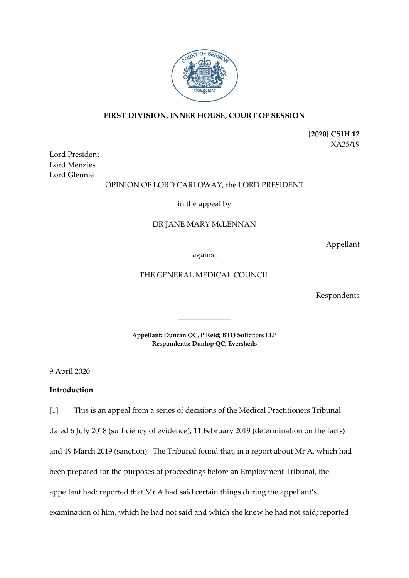

# **FIRST DIVISION, INNER HOUSE, COURT OF SESSION**

**[2020] CSIH 12** XA35/19

Lord President Lord Menzies Lord Glennie

# OPINION OF LORD CARLOWAY, the LORD PRESIDENT

in the appeal by

# DR JANE MARY McLENNAN

Appellant

against

THE GENERAL MEDICAL COUNCIL

**Respondents** 

**Appellant: Duncan QC, P Reid; BTO Solicitors LLP Respondents: Dunlop QC; Eversheds**

\_\_\_\_\_\_\_\_\_\_\_\_\_\_

9 April 2020

# **Introduction**

[1] This is an appeal from a series of decisions of the Medical Practitioners Tribunal dated 6 July 2018 (sufficiency of evidence), 11 February 2019 (determination on the facts) and 19 March 2019 (sanction). The Tribunal found that, in a report about Mr A, which had been prepared for the purposes of proceedings before an Employment Tribunal, the appellant had: reported that Mr A had said certain things during the appellant's examination of him, which he had not said and which she knew he had not said; reported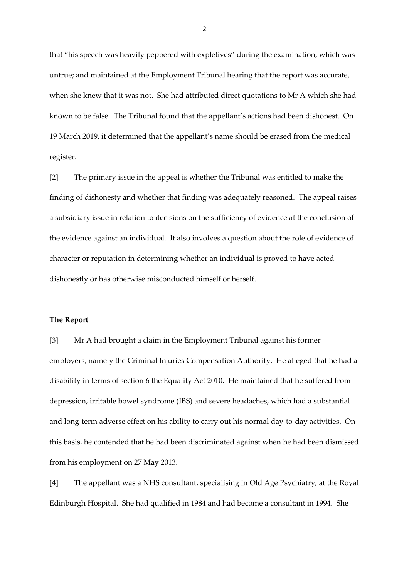that "his speech was heavily peppered with expletives" during the examination, which was untrue; and maintained at the Employment Tribunal hearing that the report was accurate, when she knew that it was not. She had attributed direct quotations to Mr A which she had known to be false. The Tribunal found that the appellant's actions had been dishonest. On 19 March 2019, it determined that the appellant's name should be erased from the medical register.

[2] The primary issue in the appeal is whether the Tribunal was entitled to make the finding of dishonesty and whether that finding was adequately reasoned. The appeal raises a subsidiary issue in relation to decisions on the sufficiency of evidence at the conclusion of the evidence against an individual. It also involves a question about the role of evidence of character or reputation in determining whether an individual is proved to have acted dishonestly or has otherwise misconducted himself or herself.

### **The Report**

[3] Mr A had brought a claim in the Employment Tribunal against his former employers, namely the Criminal Injuries Compensation Authority. He alleged that he had a disability in terms of section 6 the Equality Act 2010. He maintained that he suffered from depression, irritable bowel syndrome (IBS) and severe headaches, which had a substantial and long-term adverse effect on his ability to carry out his normal day-to-day activities. On this basis, he contended that he had been discriminated against when he had been dismissed from his employment on 27 May 2013.

[4] The appellant was a NHS consultant, specialising in Old Age Psychiatry, at the Royal Edinburgh Hospital. She had qualified in 1984 and had become a consultant in 1994. She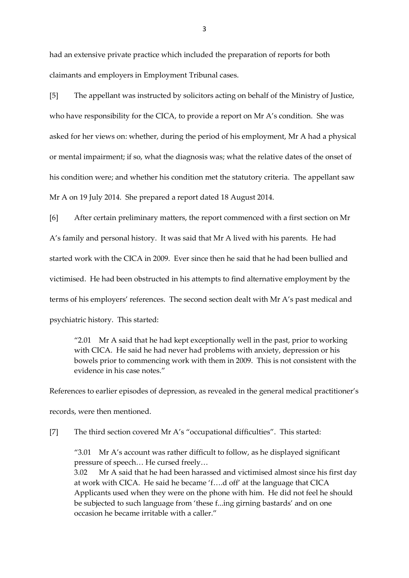had an extensive private practice which included the preparation of reports for both claimants and employers in Employment Tribunal cases.

[5] The appellant was instructed by solicitors acting on behalf of the Ministry of Justice, who have responsibility for the CICA, to provide a report on Mr A's condition. She was asked for her views on: whether, during the period of his employment, Mr A had a physical or mental impairment; if so, what the diagnosis was; what the relative dates of the onset of his condition were; and whether his condition met the statutory criteria. The appellant saw Mr A on 19 July 2014. She prepared a report dated 18 August 2014.

[6] After certain preliminary matters, the report commenced with a first section on Mr A's family and personal history. It was said that Mr A lived with his parents. He had started work with the CICA in 2009. Ever since then he said that he had been bullied and victimised. He had been obstructed in his attempts to find alternative employment by the terms of his employers' references. The second section dealt with Mr A's past medical and psychiatric history. This started:

"2.01 Mr A said that he had kept exceptionally well in the past, prior to working with CICA. He said he had never had problems with anxiety, depression or his bowels prior to commencing work with them in 2009. This is not consistent with the evidence in his case notes."

References to earlier episodes of depression, as revealed in the general medical practitioner's records, were then mentioned.

[7] The third section covered Mr A's "occupational difficulties". This started:

"3.01 Mr A's account was rather difficult to follow, as he displayed significant pressure of speech… He cursed freely…

3.02 Mr A said that he had been harassed and victimised almost since his first day at work with CICA. He said he became 'f….d off' at the language that CICA Applicants used when they were on the phone with him. He did not feel he should be subjected to such language from 'these f...ing girning bastards' and on one occasion he became irritable with a caller."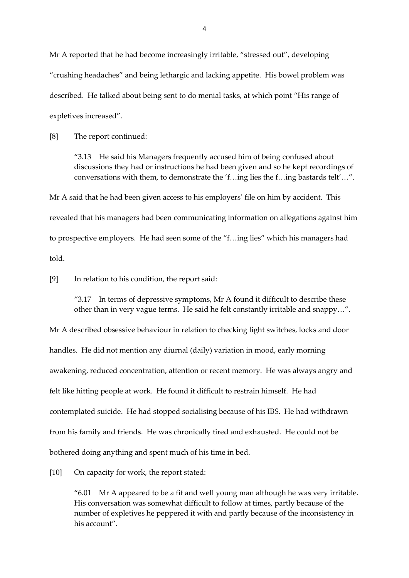Mr A reported that he had become increasingly irritable, "stressed out", developing "crushing headaches" and being lethargic and lacking appetite. His bowel problem was described. He talked about being sent to do menial tasks, at which point "His range of expletives increased".

[8] The report continued:

"3.13 He said his Managers frequently accused him of being confused about discussions they had or instructions he had been given and so he kept recordings of conversations with them, to demonstrate the 'f…ing lies the f…ing bastards telt'…".

Mr A said that he had been given access to his employers' file on him by accident. This revealed that his managers had been communicating information on allegations against him to prospective employers. He had seen some of the "f…ing lies" which his managers had told.

[9] In relation to his condition, the report said:

"3.17 In terms of depressive symptoms, Mr A found it difficult to describe these other than in very vague terms. He said he felt constantly irritable and snappy…".

Mr A described obsessive behaviour in relation to checking light switches, locks and door handles. He did not mention any diurnal (daily) variation in mood, early morning awakening, reduced concentration, attention or recent memory. He was always angry and felt like hitting people at work. He found it difficult to restrain himself. He had contemplated suicide. He had stopped socialising because of his IBS. He had withdrawn from his family and friends. He was chronically tired and exhausted. He could not be bothered doing anything and spent much of his time in bed.

[10] On capacity for work, the report stated:

 $"6.01$  Mr A appeared to be a fit and well young man although he was very irritable. His conversation was somewhat difficult to follow at times, partly because of the number of expletives he peppered it with and partly because of the inconsistency in his account".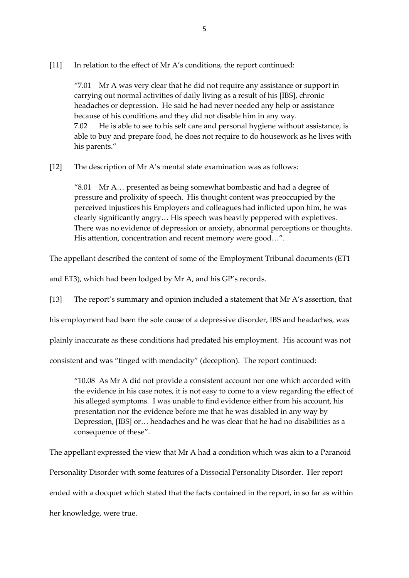[11] In relation to the effect of Mr A's conditions, the report continued:

"7.01 Mr A was very clear that he did not require any assistance or support in carrying out normal activities of daily living as a result of his [IBS], chronic headaches or depression. He said he had never needed any help or assistance because of his conditions and they did not disable him in any way. 7.02 He is able to see to his self care and personal hygiene without assistance, is able to buy and prepare food, he does not require to do housework as he lives with his parents."

[12] The description of Mr A's mental state examination was as follows:

"8.01 Mr A… presented as being somewhat bombastic and had a degree of pressure and prolixity of speech. His thought content was preoccupied by the perceived injustices his Employers and colleagues had inflicted upon him, he was clearly significantly angry… His speech was heavily peppered with expletives. There was no evidence of depression or anxiety, abnormal perceptions or thoughts. His attention, concentration and recent memory were good…".

The appellant described the content of some of the Employment Tribunal documents (ET1

and ET3), which had been lodged by Mr A, and his GP's records.

[13] The report's summary and opinion included a statement that Mr A's assertion, that

his employment had been the sole cause of a depressive disorder, IBS and headaches, was

plainly inaccurate as these conditions had predated his employment. His account was not

consistent and was "tinged with mendacity" (deception). The report continued:

"10.08 As Mr A did not provide a consistent account nor one which accorded with the evidence in his case notes, it is not easy to come to a view regarding the effect of his alleged symptoms. I was unable to find evidence either from his account, his presentation nor the evidence before me that he was disabled in any way by Depression, [IBS] or… headaches and he was clear that he had no disabilities as a consequence of these".

The appellant expressed the view that Mr A had a condition which was akin to a Paranoid Personality Disorder with some features of a Dissocial Personality Disorder. Her report ended with a docquet which stated that the facts contained in the report, in so far as within her knowledge, were true.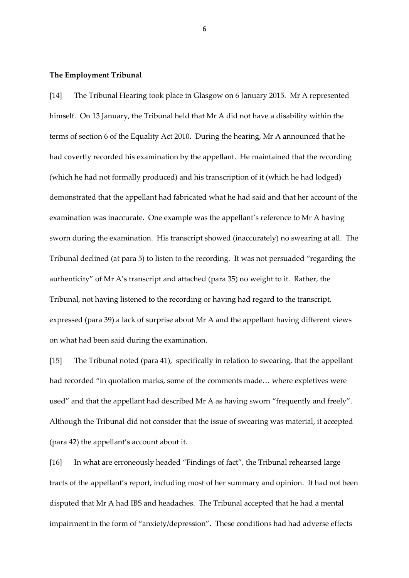#### **The Employment Tribunal**

[14] The Tribunal Hearing took place in Glasgow on 6 January 2015. Mr A represented himself. On 13 January, the Tribunal held that Mr A did not have a disability within the terms of section 6 of the Equality Act 2010. During the hearing, Mr A announced that he had covertly recorded his examination by the appellant. He maintained that the recording (which he had not formally produced) and his transcription of it (which he had lodged) demonstrated that the appellant had fabricated what he had said and that her account of the examination was inaccurate. One example was the appellant's reference to Mr A having sworn during the examination. His transcript showed (inaccurately) no swearing at all. The Tribunal declined (at para 5) to listen to the recording. It was not persuaded "regarding the authenticity" of Mr A's transcript and attached (para 35) no weight to it. Rather, the Tribunal, not having listened to the recording or having had regard to the transcript, expressed (para 39) a lack of surprise about Mr A and the appellant having different views on what had been said during the examination.

[15] The Tribunal noted (para 41), specifically in relation to swearing, that the appellant had recorded "in quotation marks, some of the comments made... where expletives were used" and that the appellant had described Mr A as having sworn "frequently and freely". Although the Tribunal did not consider that the issue of swearing was material, it accepted (para 42) the appellant's account about it.

[16] In what are erroneously headed "Findings of fact", the Tribunal rehearsed large tracts of the appellant's report, including most of her summary and opinion. It had not been disputed that Mr A had IBS and headaches. The Tribunal accepted that he had a mental impairment in the form of "anxiety/depression". These conditions had had adverse effects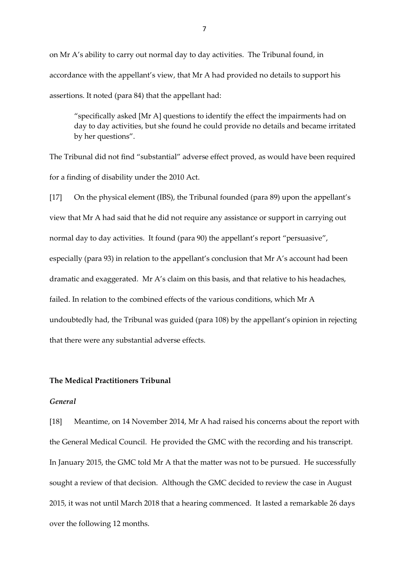on Mr A's ability to carry out normal day to day activities. The Tribunal found, in accordance with the appellant's view, that Mr A had provided no details to support his assertions. It noted (para 84) that the appellant had:

"specifically asked [Mr A] questions to identify the effect the impairments had on day to day activities, but she found he could provide no details and became irritated by her questions".

The Tribunal did not find "substantial" adverse effect proved, as would have been required for a finding of disability under the 2010 Act.

[17] On the physical element (IBS), the Tribunal founded (para 89) upon the appellant's view that Mr A had said that he did not require any assistance or support in carrying out normal day to day activities. It found (para 90) the appellant's report "persuasive", especially (para 93) in relation to the appellant's conclusion that Mr A's account had been dramatic and exaggerated. Mr A's claim on this basis, and that relative to his headaches, failed. In relation to the combined effects of the various conditions, which Mr A undoubtedly had, the Tribunal was guided (para 108) by the appellant's opinion in rejecting that there were any substantial adverse effects.

# **The Medical Practitioners Tribunal**

## *General*

[18] Meantime, on 14 November 2014, Mr A had raised his concerns about the report with the General Medical Council. He provided the GMC with the recording and his transcript. In January 2015, the GMC told Mr A that the matter was not to be pursued. He successfully sought a review of that decision. Although the GMC decided to review the case in August 2015, it was not until March 2018 that a hearing commenced. It lasted a remarkable 26 days over the following 12 months.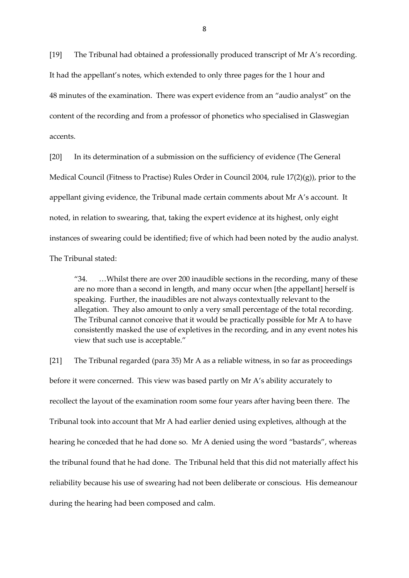[19] The Tribunal had obtained a professionally produced transcript of Mr A's recording. It had the appellant's notes, which extended to only three pages for the 1 hour and 48 minutes of the examination. There was expert evidence from an "audio analyst" on the content of the recording and from a professor of phonetics who specialised in Glaswegian accents.

[20] In its determination of a submission on the sufficiency of evidence (The General Medical Council (Fitness to Practise) Rules Order in Council 2004, rule  $17(2)(g)$ ), prior to the appellant giving evidence, the Tribunal made certain comments about Mr A's account. It noted, in relation to swearing, that, taking the expert evidence at its highest, only eight instances of swearing could be identified; five of which had been noted by the audio analyst. The Tribunal stated:

"34. …Whilst there are over 200 inaudible sections in the recording, many of these are no more than a second in length, and many occur when [the appellant] herself is speaking. Further, the inaudibles are not always contextually relevant to the allegation. They also amount to only a very small percentage of the total recording. The Tribunal cannot conceive that it would be practically possible for Mr A to have consistently masked the use of expletives in the recording, and in any event notes his view that such use is acceptable."

[21] The Tribunal regarded (para 35) Mr A as a reliable witness, in so far as proceedings before it were concerned. This view was based partly on Mr A's ability accurately to recollect the layout of the examination room some four years after having been there. The Tribunal took into account that Mr A had earlier denied using expletives, although at the hearing he conceded that he had done so. Mr A denied using the word "bastards", whereas the tribunal found that he had done. The Tribunal held that this did not materially affect his reliability because his use of swearing had not been deliberate or conscious. His demeanour during the hearing had been composed and calm.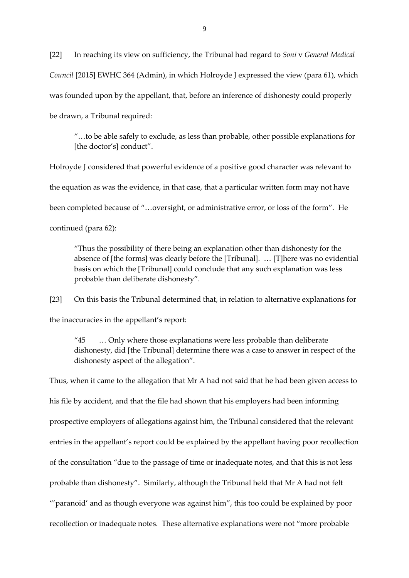[22] In reaching its view on sufficiency, the Tribunal had regard to *Soni* v *General Medical Council* [2015] EWHC 364 (Admin), in which Holroyde J expressed the view (para 61), which was founded upon by the appellant, that, before an inference of dishonesty could properly be drawn, a Tribunal required:

"…to be able safely to exclude, as less than probable, other possible explanations for [the doctor's] conduct".

Holroyde J considered that powerful evidence of a positive good character was relevant to the equation as was the evidence, in that case, that a particular written form may not have been completed because of "…oversight, or administrative error, or loss of the form". He continued (para 62):

"Thus the possibility of there being an explanation other than dishonesty for the absence of [the forms] was clearly before the [Tribunal]. … [T]here was no evidential basis on which the [Tribunal] could conclude that any such explanation was less probable than deliberate dishonesty".

[23] On this basis the Tribunal determined that, in relation to alternative explanations for the inaccuracies in the appellant's report:

"45 … Only where those explanations were less probable than deliberate dishonesty, did [the Tribunal] determine there was a case to answer in respect of the dishonesty aspect of the allegation".

Thus, when it came to the allegation that Mr A had not said that he had been given access to his file by accident, and that the file had shown that his employers had been informing prospective employers of allegations against him, the Tribunal considered that the relevant entries in the appellant's report could be explained by the appellant having poor recollection of the consultation "due to the passage of time or inadequate notes, and that this is not less probable than dishonesty". Similarly, although the Tribunal held that Mr A had not felt "'paranoid' and as though everyone was against him", this too could be explained by poor recollection or inadequate notes. These alternative explanations were not "more probable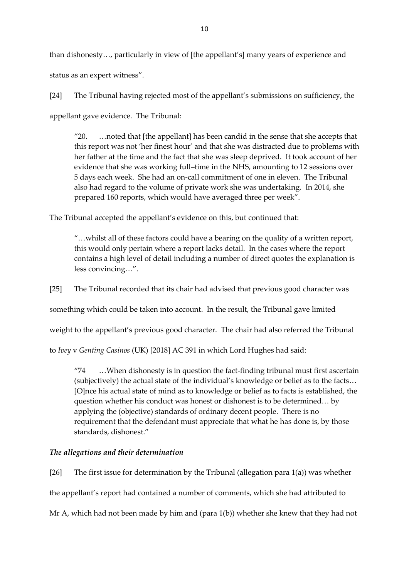than dishonesty…, particularly in view of [the appellant's] many years of experience and status as an expert witness".

[24] The Tribunal having rejected most of the appellant's submissions on sufficiency, the appellant gave evidence. The Tribunal:

"20.  $\ldots$  noted that [the appellant] has been candid in the sense that she accepts that this report was not 'her finest hour' and that she was distracted due to problems with her father at the time and the fact that she was sleep deprived. It took account of her evidence that she was working full–time in the NHS, amounting to 12 sessions over 5 days each week. She had an on-call commitment of one in eleven. The Tribunal also had regard to the volume of private work she was undertaking. In 2014, she prepared 160 reports, which would have averaged three per week".

The Tribunal accepted the appellant's evidence on this, but continued that:

"…whilst all of these factors could have a bearing on the quality of a written report, this would only pertain where a report lacks detail. In the cases where the report contains a high level of detail including a number of direct quotes the explanation is less convincing…".

[25] The Tribunal recorded that its chair had advised that previous good character was

something which could be taken into account. In the result, the Tribunal gave limited

weight to the appellant's previous good character. The chair had also referred the Tribunal

to *Ivey* v *Genting Casinos* (UK) [2018] AC 391 in which Lord Hughes had said:

"74 …When dishonesty is in question the fact-finding tribunal must first ascertain (subjectively) the actual state of the individual's knowledge or belief as to the facts… [O]nce his actual state of mind as to knowledge or belief as to facts is established, the question whether his conduct was honest or dishonest is to be determined… by applying the (objective) standards of ordinary decent people. There is no requirement that the defendant must appreciate that what he has done is, by those standards, dishonest."

# *The allegations and their determination*

[26] The first issue for determination by the Tribunal (allegation para  $1(a)$ ) was whether the appellant's report had contained a number of comments, which she had attributed to Mr A, which had not been made by him and (para 1(b)) whether she knew that they had not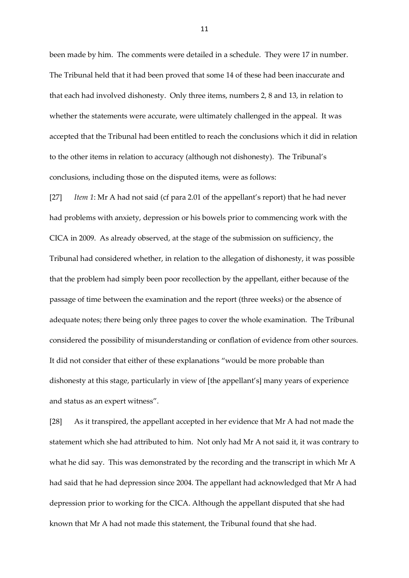been made by him. The comments were detailed in a schedule. They were 17 in number. The Tribunal held that it had been proved that some 14 of these had been inaccurate and that each had involved dishonesty. Only three items, numbers 2, 8 and 13, in relation to whether the statements were accurate, were ultimately challenged in the appeal. It was accepted that the Tribunal had been entitled to reach the conclusions which it did in relation to the other items in relation to accuracy (although not dishonesty). The Tribunal's conclusions, including those on the disputed items, were as follows:

[27] *Item 1*: Mr A had not said (cf para 2.01 of the appellant's report) that he had never had problems with anxiety, depression or his bowels prior to commencing work with the CICA in 2009. As already observed, at the stage of the submission on sufficiency, the Tribunal had considered whether, in relation to the allegation of dishonesty, it was possible that the problem had simply been poor recollection by the appellant, either because of the passage of time between the examination and the report (three weeks) or the absence of adequate notes; there being only three pages to cover the whole examination. The Tribunal considered the possibility of misunderstanding or conflation of evidence from other sources. It did not consider that either of these explanations "would be more probable than dishonesty at this stage, particularly in view of [the appellant's] many years of experience and status as an expert witness".

[28] As it transpired, the appellant accepted in her evidence that Mr A had not made the statement which she had attributed to him. Not only had Mr A not said it, it was contrary to what he did say. This was demonstrated by the recording and the transcript in which Mr A had said that he had depression since 2004. The appellant had acknowledged that Mr A had depression prior to working for the CICA. Although the appellant disputed that she had known that Mr A had not made this statement, the Tribunal found that she had.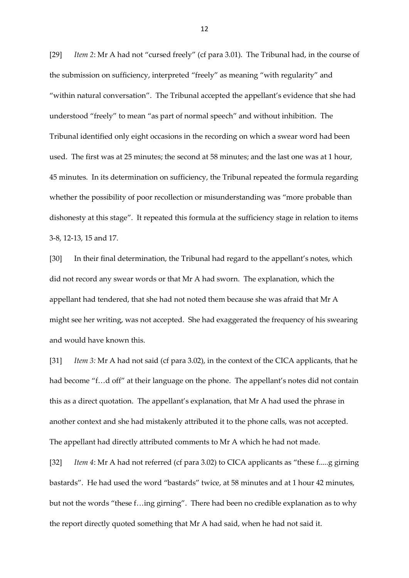[29] *Item 2*: Mr A had not "cursed freely" (cf para 3.01). The Tribunal had, in the course of the submission on sufficiency, interpreted "freely" as meaning "with regularity" and "within natural conversation". The Tribunal accepted the appellant's evidence that she had understood "freely" to mean "as part of normal speech" and without inhibition. The Tribunal identified only eight occasions in the recording on which a swear word had been used. The first was at 25 minutes; the second at 58 minutes; and the last one was at 1 hour, 45 minutes. In its determination on sufficiency, the Tribunal repeated the formula regarding whether the possibility of poor recollection or misunderstanding was "more probable than dishonesty at this stage". It repeated this formula at the sufficiency stage in relation to items 3-8, 12-13, 15 and 17.

[30] In their final determination, the Tribunal had regard to the appellant's notes, which did not record any swear words or that Mr A had sworn. The explanation, which the appellant had tendered, that she had not noted them because she was afraid that Mr A might see her writing, was not accepted. She had exaggerated the frequency of his swearing and would have known this.

[31] *Item 3:* Mr A had not said (cf para 3.02), in the context of the CICA applicants, that he had become "f...d off" at their language on the phone. The appellant's notes did not contain this as a direct quotation. The appellant's explanation, that Mr A had used the phrase in another context and she had mistakenly attributed it to the phone calls, was not accepted. The appellant had directly attributed comments to Mr A which he had not made.

[32] *Item 4*: Mr A had not referred (cf para 3.02) to CICA applicants as "these f.....g girning bastards". He had used the word "bastards" twice, at 58 minutes and at 1 hour 42 minutes, but not the words "these f…ing girning". There had been no credible explanation as to why the report directly quoted something that Mr A had said, when he had not said it.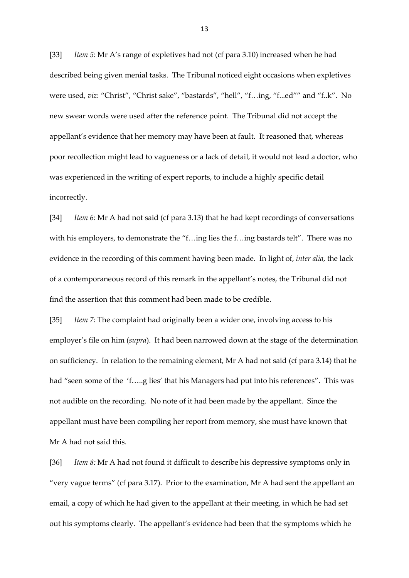[33] *Item 5*: Mr A's range of expletives had not (cf para 3.10) increased when he had described being given menial tasks. The Tribunal noticed eight occasions when expletives were used, *viz*: "Christ", "Christ sake", "bastards", "hell", "f…ing, "f...ed"" and "f..k". No new swear words were used after the reference point. The Tribunal did not accept the appellant's evidence that her memory may have been at fault. It reasoned that, whereas poor recollection might lead to vagueness or a lack of detail, it would not lead a doctor, who was experienced in the writing of expert reports, to include a highly specific detail incorrectly.

[34] *Item 6*: Mr A had not said (cf para 3.13) that he had kept recordings of conversations with his employers, to demonstrate the "f...ing lies the f...ing bastards telt". There was no evidence in the recording of this comment having been made. In light of, *inter alia*, the lack of a contemporaneous record of this remark in the appellant's notes, the Tribunal did not find the assertion that this comment had been made to be credible.

[35] *Item 7*: The complaint had originally been a wider one, involving access to his employer's file on him (*supra*). It had been narrowed down at the stage of the determination on sufficiency. In relation to the remaining element, Mr A had not said (cf para 3.14) that he had "seen some of the 'f.....g lies' that his Managers had put into his references". This was not audible on the recording. No note of it had been made by the appellant. Since the appellant must have been compiling her report from memory, she must have known that Mr A had not said this.

[36] *Item 8:* Mr A had not found it difficult to describe his depressive symptoms only in "very vague terms" (cf para 3.17). Prior to the examination, Mr A had sent the appellant an email, a copy of which he had given to the appellant at their meeting, in which he had set out his symptoms clearly. The appellant's evidence had been that the symptoms which he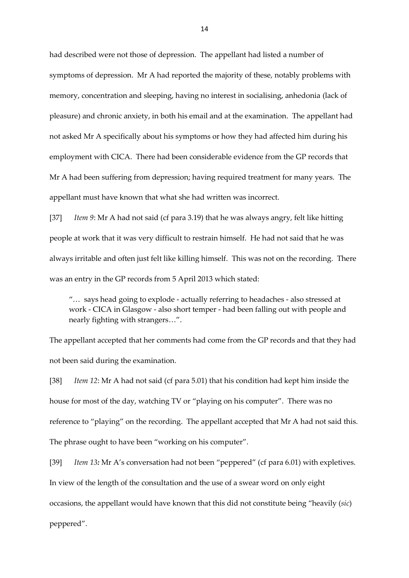had described were not those of depression. The appellant had listed a number of symptoms of depression. Mr A had reported the majority of these, notably problems with memory, concentration and sleeping, having no interest in socialising, anhedonia (lack of pleasure) and chronic anxiety, in both his email and at the examination. The appellant had not asked Mr A specifically about his symptoms or how they had affected him during his employment with CICA. There had been considerable evidence from the GP records that Mr A had been suffering from depression; having required treatment for many years. The appellant must have known that what she had written was incorrect.

[37] *Item 9*: Mr A had not said (cf para 3.19) that he was always angry, felt like hitting people at work that it was very difficult to restrain himself. He had not said that he was always irritable and often just felt like killing himself. This was not on the recording. There was an entry in the GP records from 5 April 2013 which stated:

"… says head going to explode - actually referring to headaches - also stressed at work - CICA in Glasgow - also short temper - had been falling out with people and nearly fighting with strangers…".

The appellant accepted that her comments had come from the GP records and that they had not been said during the examination.

[38] *Item 12*: Mr A had not said (cf para 5.01) that his condition had kept him inside the house for most of the day, watching TV or "playing on his computer". There was no reference to "playing" on the recording. The appellant accepted that Mr A had not said this. The phrase ought to have been "working on his computer".

[39] *Item 13:* Mr A's conversation had not been "peppered" (cf para 6.01) with expletives. In view of the length of the consultation and the use of a swear word on only eight occasions, the appellant would have known that this did not constitute being "heavily (*sic*) peppered".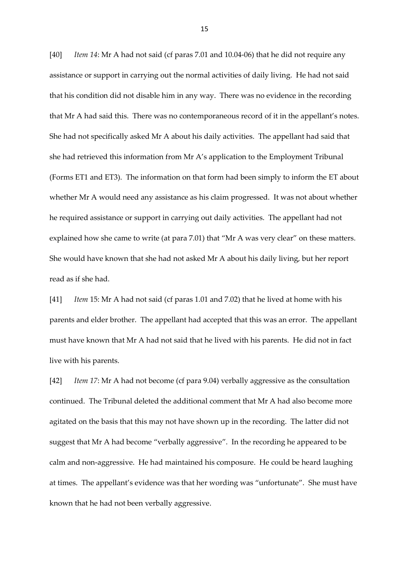[40] *Item 14*: Mr A had not said (cf paras 7.01 and 10.04-06) that he did not require any assistance or support in carrying out the normal activities of daily living. He had not said that his condition did not disable him in any way. There was no evidence in the recording that Mr A had said this. There was no contemporaneous record of it in the appellant's notes. She had not specifically asked Mr A about his daily activities. The appellant had said that she had retrieved this information from Mr A's application to the Employment Tribunal (Forms ET1 and ET3). The information on that form had been simply to inform the ET about whether Mr A would need any assistance as his claim progressed. It was not about whether he required assistance or support in carrying out daily activities. The appellant had not explained how she came to write (at para 7.01) that "Mr A was very clear" on these matters. She would have known that she had not asked Mr A about his daily living, but her report read as if she had.

[41] *Item* 15: Mr A had not said (cf paras 1.01 and 7.02) that he lived at home with his parents and elder brother. The appellant had accepted that this was an error. The appellant must have known that Mr A had not said that he lived with his parents. He did not in fact live with his parents.

[42] *Item 17*: Mr A had not become (cf para 9.04) verbally aggressive as the consultation continued. The Tribunal deleted the additional comment that Mr A had also become more agitated on the basis that this may not have shown up in the recording. The latter did not suggest that Mr A had become "verbally aggressive". In the recording he appeared to be calm and non-aggressive. He had maintained his composure. He could be heard laughing at times. The appellant's evidence was that her wording was "unfortunate". She must have known that he had not been verbally aggressive.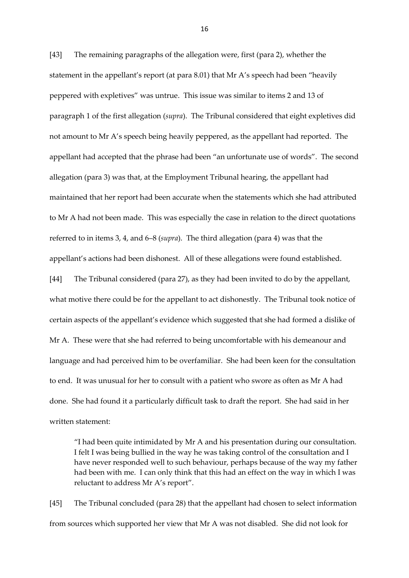[43] The remaining paragraphs of the allegation were, first (para 2), whether the statement in the appellant's report (at para 8.01) that Mr A's speech had been "heavily peppered with expletives" was untrue. This issue was similar to items 2 and 13 of paragraph 1 of the first allegation (*supra*). The Tribunal considered that eight expletives did not amount to Mr A's speech being heavily peppered, as the appellant had reported. The appellant had accepted that the phrase had been "an unfortunate use of words". The second allegation (para 3) was that, at the Employment Tribunal hearing, the appellant had maintained that her report had been accurate when the statements which she had attributed to Mr A had not been made. This was especially the case in relation to the direct quotations referred to in items 3, 4, and 6–8 (*supra*). The third allegation (para 4) was that the appellant's actions had been dishonest. All of these allegations were found established.

[44] The Tribunal considered (para 27), as they had been invited to do by the appellant, what motive there could be for the appellant to act dishonestly. The Tribunal took notice of certain aspects of the appellant's evidence which suggested that she had formed a dislike of Mr A. These were that she had referred to being uncomfortable with his demeanour and language and had perceived him to be overfamiliar. She had been keen for the consultation to end. It was unusual for her to consult with a patient who swore as often as Mr A had done. She had found it a particularly difficult task to draft the report. She had said in her written statement:

"I had been quite intimidated by Mr A and his presentation during our consultation. I felt I was being bullied in the way he was taking control of the consultation and I have never responded well to such behaviour, perhaps because of the way my father had been with me. I can only think that this had an effect on the way in which I was reluctant to address Mr A's report".

[45] The Tribunal concluded (para 28) that the appellant had chosen to select information from sources which supported her view that Mr A was not disabled. She did not look for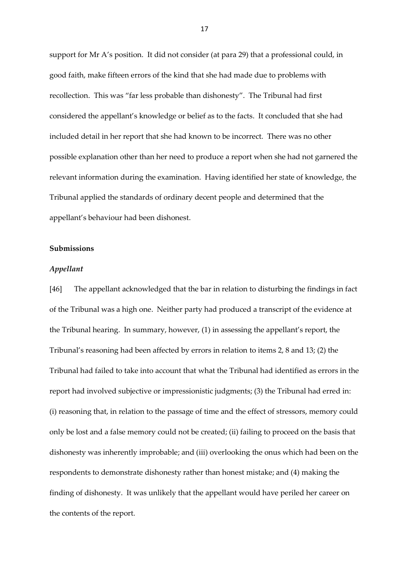support for Mr A's position. It did not consider (at para 29) that a professional could, in good faith, make fifteen errors of the kind that she had made due to problems with recollection. This was "far less probable than dishonesty". The Tribunal had first considered the appellant's knowledge or belief as to the facts. It concluded that she had included detail in her report that she had known to be incorrect. There was no other possible explanation other than her need to produce a report when she had not garnered the relevant information during the examination. Having identified her state of knowledge, the Tribunal applied the standards of ordinary decent people and determined that the appellant's behaviour had been dishonest.

### **Submissions**

### *Appellant*

[46] The appellant acknowledged that the bar in relation to disturbing the findings in fact of the Tribunal was a high one. Neither party had produced a transcript of the evidence at the Tribunal hearing. In summary, however, (1) in assessing the appellant's report, the Tribunal's reasoning had been affected by errors in relation to items 2, 8 and 13; (2) the Tribunal had failed to take into account that what the Tribunal had identified as errors in the report had involved subjective or impressionistic judgments; (3) the Tribunal had erred in: (i) reasoning that, in relation to the passage of time and the effect of stressors, memory could only be lost and a false memory could not be created; (ii) failing to proceed on the basis that dishonesty was inherently improbable; and (iii) overlooking the onus which had been on the respondents to demonstrate dishonesty rather than honest mistake; and (4) making the finding of dishonesty. It was unlikely that the appellant would have periled her career on the contents of the report.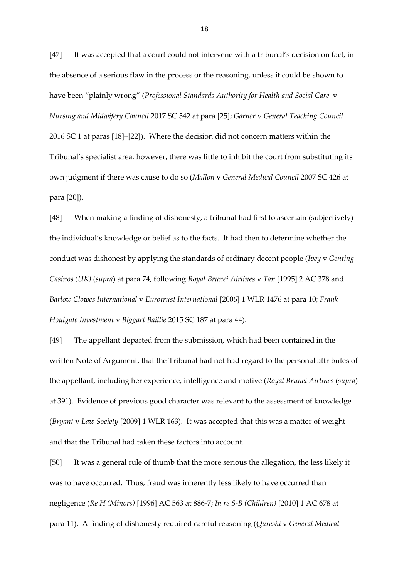[47] It was accepted that a court could not intervene with a tribunal's decision on fact, in the absence of a serious flaw in the process or the reasoning, unless it could be shown to have been "plainly wrong" (*Professional Standards Authority for Health and Social Care* v *Nursing and Midwifery Council* 2017 SC 542 at para [25]; *Garner* v *General Teaching Council* 2016 SC 1 at paras [18]–[22]). Where the decision did not concern matters within the Tribunal's specialist area, however, there was little to inhibit the court from substituting its own judgment if there was cause to do so (*Mallon* v *General Medical Council* 2007 SC 426 at para [20]).

[48] When making a finding of dishonesty, a tribunal had first to ascertain (subjectively) the individual's knowledge or belief as to the facts. It had then to determine whether the conduct was dishonest by applying the standards of ordinary decent people (*Ivey* v *Genting Casinos (UK)* (*supra*) at para 74, following *Royal Brunei Airlines* v *Tan* [1995] 2 AC 378 and *Barlow Clowes International* v *Eurotrust International* [2006] 1 WLR 1476 at para 10; *Frank Houlgate Investment* v *Biggart Baillie* 2015 SC 187 at para 44).

[49] The appellant departed from the submission, which had been contained in the written Note of Argument, that the Tribunal had not had regard to the personal attributes of the appellant, including her experience, intelligence and motive (*Royal Brunei Airlines* (*supra*) at 391). Evidence of previous good character was relevant to the assessment of knowledge (*Bryant* v *Law Society* [2009] 1 WLR 163). It was accepted that this was a matter of weight and that the Tribunal had taken these factors into account.

[50] It was a general rule of thumb that the more serious the allegation, the less likely it was to have occurred. Thus, fraud was inherently less likely to have occurred than negligence (*Re H (Minors)* [1996] AC 563 at 886-7; *In re S-B (Children)* [2010] 1 AC 678 at para 11). A finding of dishonesty required careful reasoning (*Qureshi* v *General Medical*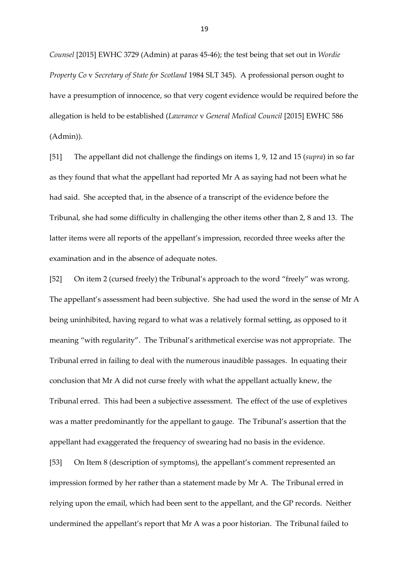*Counsel* [2015] EWHC 3729 (Admin) at paras 45-46); the test being that set out in *Wordie Property Co* v *Secretary of State for Scotland* 1984 SLT 345). A professional person ought to have a presumption of innocence, so that very cogent evidence would be required before the allegation is held to be established (*Lawrance* v *General Medical Council* [2015] EWHC 586 (Admin)).

[51] The appellant did not challenge the findings on items 1, 9, 12 and 15 (*supra*) in so far as they found that what the appellant had reported Mr A as saying had not been what he had said. She accepted that, in the absence of a transcript of the evidence before the Tribunal, she had some difficulty in challenging the other items other than 2, 8 and 13. The latter items were all reports of the appellant's impression, recorded three weeks after the examination and in the absence of adequate notes.

[52] On item 2 (cursed freely) the Tribunal's approach to the word "freely" was wrong. The appellant's assessment had been subjective. She had used the word in the sense of Mr A being uninhibited, having regard to what was a relatively formal setting, as opposed to it meaning "with regularity". The Tribunal's arithmetical exercise was not appropriate. The Tribunal erred in failing to deal with the numerous inaudible passages. In equating their conclusion that Mr A did not curse freely with what the appellant actually knew, the Tribunal erred. This had been a subjective assessment. The effect of the use of expletives was a matter predominantly for the appellant to gauge. The Tribunal's assertion that the appellant had exaggerated the frequency of swearing had no basis in the evidence.

[53] On Item 8 (description of symptoms), the appellant's comment represented an impression formed by her rather than a statement made by Mr A. The Tribunal erred in relying upon the email, which had been sent to the appellant, and the GP records. Neither undermined the appellant's report that Mr A was a poor historian. The Tribunal failed to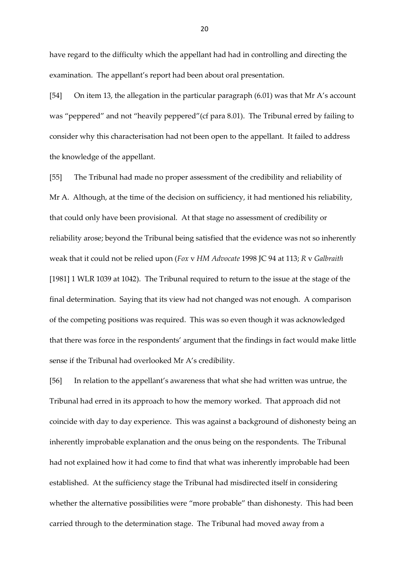have regard to the difficulty which the appellant had had in controlling and directing the examination. The appellant's report had been about oral presentation.

[54] On item 13, the allegation in the particular paragraph (6.01) was that Mr A's account was "peppered" and not "heavily peppered"(cf para 8.01). The Tribunal erred by failing to consider why this characterisation had not been open to the appellant. It failed to address the knowledge of the appellant.

[55] The Tribunal had made no proper assessment of the credibility and reliability of Mr A. Although, at the time of the decision on sufficiency, it had mentioned his reliability, that could only have been provisional. At that stage no assessment of credibility or reliability arose; beyond the Tribunal being satisfied that the evidence was not so inherently weak that it could not be relied upon (*Fox* v *HM Advocate* 1998 JC 94 at 113; *R* v *Galbraith* [1981] 1 WLR 1039 at 1042). The Tribunal required to return to the issue at the stage of the final determination. Saying that its view had not changed was not enough. A comparison of the competing positions was required. This was so even though it was acknowledged that there was force in the respondents' argument that the findings in fact would make little sense if the Tribunal had overlooked Mr A's credibility.

[56] In relation to the appellant's awareness that what she had written was untrue, the Tribunal had erred in its approach to how the memory worked. That approach did not coincide with day to day experience. This was against a background of dishonesty being an inherently improbable explanation and the onus being on the respondents. The Tribunal had not explained how it had come to find that what was inherently improbable had been established. At the sufficiency stage the Tribunal had misdirected itself in considering whether the alternative possibilities were "more probable" than dishonesty. This had been carried through to the determination stage. The Tribunal had moved away from a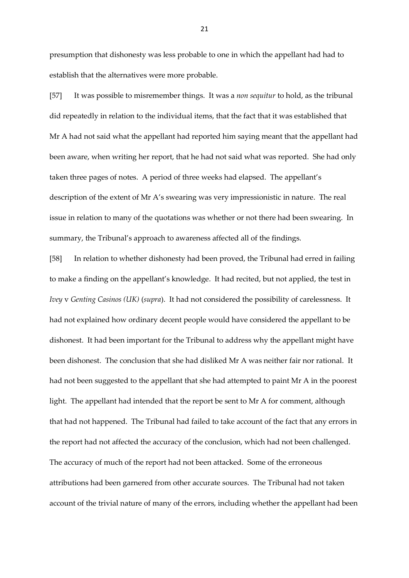presumption that dishonesty was less probable to one in which the appellant had had to establish that the alternatives were more probable.

[57] It was possible to misremember things. It was a *non sequitur* to hold, as the tribunal did repeatedly in relation to the individual items, that the fact that it was established that Mr A had not said what the appellant had reported him saying meant that the appellant had been aware, when writing her report, that he had not said what was reported. She had only taken three pages of notes. A period of three weeks had elapsed. The appellant's description of the extent of Mr A's swearing was very impressionistic in nature. The real issue in relation to many of the quotations was whether or not there had been swearing. In summary, the Tribunal's approach to awareness affected all of the findings.

[58] In relation to whether dishonesty had been proved, the Tribunal had erred in failing to make a finding on the appellant's knowledge. It had recited, but not applied, the test in *Ivey* v *Genting Casinos (UK)* (*supra*). It had not considered the possibility of carelessness. It had not explained how ordinary decent people would have considered the appellant to be dishonest. It had been important for the Tribunal to address why the appellant might have been dishonest. The conclusion that she had disliked Mr A was neither fair nor rational. It had not been suggested to the appellant that she had attempted to paint Mr A in the poorest light. The appellant had intended that the report be sent to Mr A for comment, although that had not happened. The Tribunal had failed to take account of the fact that any errors in the report had not affected the accuracy of the conclusion, which had not been challenged. The accuracy of much of the report had not been attacked. Some of the erroneous attributions had been garnered from other accurate sources. The Tribunal had not taken account of the trivial nature of many of the errors, including whether the appellant had been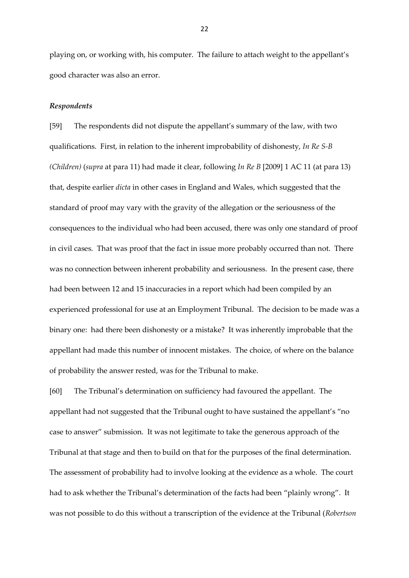playing on, or working with, his computer. The failure to attach weight to the appellant's good character was also an error.

#### *Respondents*

[59] The respondents did not dispute the appellant's summary of the law, with two qualifications. First, in relation to the inherent improbability of dishonesty, *In Re S-B (Children)* (*supra* at para 11) had made it clear, following *In Re B* [2009] 1 AC 11 (at para 13) that, despite earlier *dicta* in other cases in England and Wales, which suggested that the standard of proof may vary with the gravity of the allegation or the seriousness of the consequences to the individual who had been accused, there was only one standard of proof in civil cases. That was proof that the fact in issue more probably occurred than not. There was no connection between inherent probability and seriousness. In the present case, there had been between 12 and 15 inaccuracies in a report which had been compiled by an experienced professional for use at an Employment Tribunal. The decision to be made was a binary one: had there been dishonesty or a mistake? It was inherently improbable that the appellant had made this number of innocent mistakes. The choice, of where on the balance of probability the answer rested, was for the Tribunal to make.

[60] The Tribunal's determination on sufficiency had favoured the appellant. The appellant had not suggested that the Tribunal ought to have sustained the appellant's "no case to answer" submission. It was not legitimate to take the generous approach of the Tribunal at that stage and then to build on that for the purposes of the final determination. The assessment of probability had to involve looking at the evidence as a whole. The court had to ask whether the Tribunal's determination of the facts had been "plainly wrong". It was not possible to do this without a transcription of the evidence at the Tribunal (*Robertson*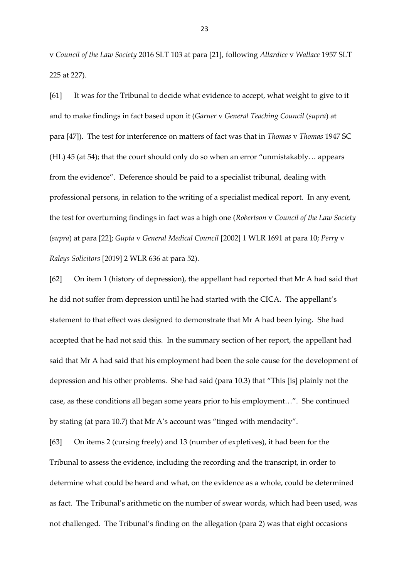v *Council of the Law Society* 2016 SLT 103 at para [21], following *Allardice* v *Wallace* 1957 SLT 225 at 227).

[61] It was for the Tribunal to decide what evidence to accept, what weight to give to it and to make findings in fact based upon it (*Garner* v *General Teaching Council* (*supra*) at para [47]). The test for interference on matters of fact was that in *Thomas* v *Thomas* 1947 SC (HL) 45 (at 54); that the court should only do so when an error "unmistakably… appears from the evidence". Deference should be paid to a specialist tribunal, dealing with professional persons, in relation to the writing of a specialist medical report. In any event, the test for overturning findings in fact was a high one (*Robertson* v *Council of the Law Society*  (*supra*) at para [22]; *Gupta* v *General Medical Council* [2002] 1 WLR 1691 at para 10; *Perry* v *Raleys Solicitors* [2019] 2 WLR 636 at para 52).

[62] On item 1 (history of depression), the appellant had reported that Mr A had said that he did not suffer from depression until he had started with the CICA. The appellant's statement to that effect was designed to demonstrate that Mr A had been lying. She had accepted that he had not said this. In the summary section of her report, the appellant had said that Mr A had said that his employment had been the sole cause for the development of depression and his other problems. She had said (para 10.3) that "This [is] plainly not the case, as these conditions all began some years prior to his employment…". She continued by stating (at para 10.7) that Mr A's account was "tinged with mendacity".

[63] On items 2 (cursing freely) and 13 (number of expletives), it had been for the Tribunal to assess the evidence, including the recording and the transcript, in order to determine what could be heard and what, on the evidence as a whole, could be determined as fact. The Tribunal's arithmetic on the number of swear words, which had been used, was not challenged. The Tribunal's finding on the allegation (para 2) was that eight occasions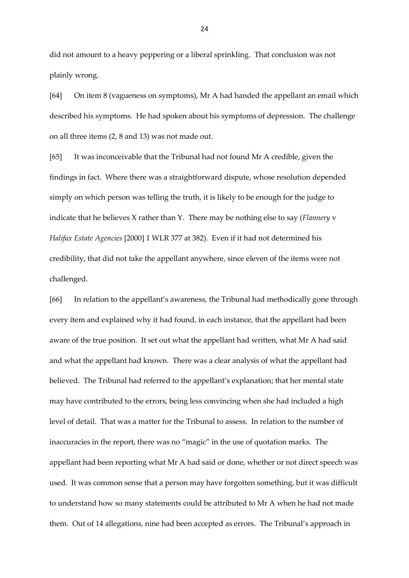did not amount to a heavy peppering or a liberal sprinkling. That conclusion was not plainly wrong.

[64] On item 8 (vagueness on symptoms), Mr A had handed the appellant an email which described his symptoms. He had spoken about his symptoms of depression. The challenge on all three items (2, 8 and 13) was not made out.

[65] It was inconceivable that the Tribunal had not found Mr A credible, given the findings in fact. Where there was a straightforward dispute, whose resolution depended simply on which person was telling the truth, it is likely to be enough for the judge to indicate that he believes X rather than Y. There may be nothing else to say (*Flannery* v *Halifax Estate Agencies* [2000] 1 WLR 377 at 382). Even if it had not determined his credibility, that did not take the appellant anywhere, since eleven of the items were not challenged.

[66] In relation to the appellant's awareness, the Tribunal had methodically gone through every item and explained why it had found, in each instance, that the appellant had been aware of the true position. It set out what the appellant had written, what Mr A had said and what the appellant had known. There was a clear analysis of what the appellant had believed. The Tribunal had referred to the appellant's explanation; that her mental state may have contributed to the errors, being less convincing when she had included a high level of detail. That was a matter for the Tribunal to assess. In relation to the number of inaccuracies in the report, there was no "magic" in the use of quotation marks. The appellant had been reporting what Mr A had said or done, whether or not direct speech was used. It was common sense that a person may have forgotten something, but it was difficult to understand how so many statements could be attributed to Mr A when he had not made them. Out of 14 allegations, nine had been accepted as errors. The Tribunal's approach in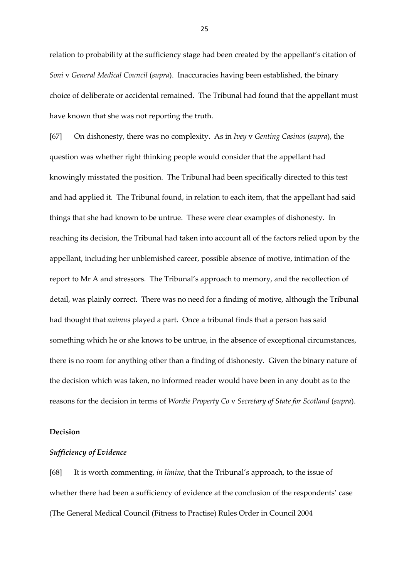relation to probability at the sufficiency stage had been created by the appellant's citation of *Soni* v *General Medical Council* (*supra*). Inaccuracies having been established, the binary choice of deliberate or accidental remained. The Tribunal had found that the appellant must have known that she was not reporting the truth.

[67] On dishonesty, there was no complexity. As in *Ivey* v *Genting Casinos* (*supra*), the question was whether right thinking people would consider that the appellant had knowingly misstated the position. The Tribunal had been specifically directed to this test and had applied it. The Tribunal found, in relation to each item, that the appellant had said things that she had known to be untrue. These were clear examples of dishonesty. In reaching its decision, the Tribunal had taken into account all of the factors relied upon by the appellant, including her unblemished career, possible absence of motive, intimation of the report to Mr A and stressors. The Tribunal's approach to memory, and the recollection of detail, was plainly correct. There was no need for a finding of motive, although the Tribunal had thought that *animus* played a part. Once a tribunal finds that a person has said something which he or she knows to be untrue, in the absence of exceptional circumstances, there is no room for anything other than a finding of dishonesty. Given the binary nature of the decision which was taken, no informed reader would have been in any doubt as to the reasons for the decision in terms of *Wordie Property Co* v *Secretary of State for Scotland* (*supra*).

### **Decision**

#### *Sufficiency of Evidence*

[68] It is worth commenting, *in limine*, that the Tribunal's approach, to the issue of whether there had been a sufficiency of evidence at the conclusion of the respondents' case (The General Medical Council (Fitness to Practise) Rules Order in Council 2004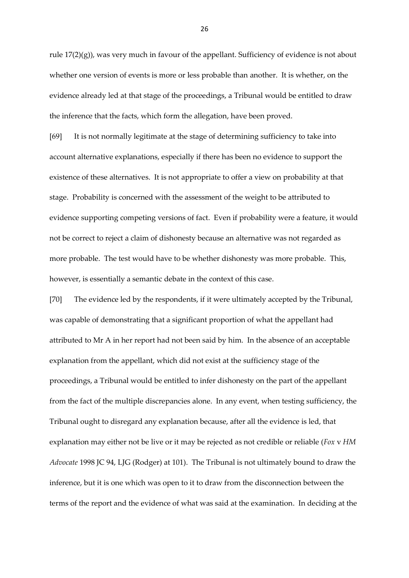rule 17(2)(g)), was very much in favour of the appellant. Sufficiency of evidence is not about whether one version of events is more or less probable than another. It is whether, on the evidence already led at that stage of the proceedings, a Tribunal would be entitled to draw the inference that the facts, which form the allegation, have been proved.

[69] It is not normally legitimate at the stage of determining sufficiency to take into account alternative explanations, especially if there has been no evidence to support the existence of these alternatives. It is not appropriate to offer a view on probability at that stage. Probability is concerned with the assessment of the weight to be attributed to evidence supporting competing versions of fact. Even if probability were a feature, it would not be correct to reject a claim of dishonesty because an alternative was not regarded as more probable. The test would have to be whether dishonesty was more probable. This, however, is essentially a semantic debate in the context of this case.

[70] The evidence led by the respondents, if it were ultimately accepted by the Tribunal, was capable of demonstrating that a significant proportion of what the appellant had attributed to Mr A in her report had not been said by him. In the absence of an acceptable explanation from the appellant, which did not exist at the sufficiency stage of the proceedings, a Tribunal would be entitled to infer dishonesty on the part of the appellant from the fact of the multiple discrepancies alone. In any event, when testing sufficiency, the Tribunal ought to disregard any explanation because, after all the evidence is led, that explanation may either not be live or it may be rejected as not credible or reliable (*Fox* v *HM Advocate* 1998 JC 94, LJG (Rodger) at 101). The Tribunal is not ultimately bound to draw the inference, but it is one which was open to it to draw from the disconnection between the terms of the report and the evidence of what was said at the examination. In deciding at the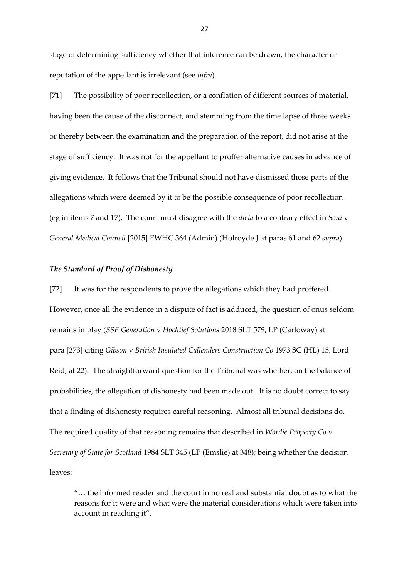stage of determining sufficiency whether that inference can be drawn, the character or reputation of the appellant is irrelevant (see *infra*).

[71] The possibility of poor recollection, or a conflation of different sources of material, having been the cause of the disconnect, and stemming from the time lapse of three weeks or thereby between the examination and the preparation of the report, did not arise at the stage of sufficiency. It was not for the appellant to proffer alternative causes in advance of giving evidence. It follows that the Tribunal should not have dismissed those parts of the allegations which were deemed by it to be the possible consequence of poor recollection (eg in items 7 and 17). The court must disagree with the *dicta* to a contrary effect in *Soni* v *General Medical Council* [2015] EWHC 364 (Admin) (Holroyde J at paras 61 and 62 *supra*).

### *The Standard of Proof of Dishonesty*

[72] It was for the respondents to prove the allegations which they had proffered. However, once all the evidence in a dispute of fact is adduced, the question of onus seldom remains in play (*SSE Generation* v *Hochtief Solutions* 2018 SLT 579, LP (Carloway) at para [273] citing *Gibson* v *British Insulated Callenders Construction Co* 1973 SC (HL) 15, Lord Reid, at 22). The straightforward question for the Tribunal was whether, on the balance of probabilities, the allegation of dishonesty had been made out. It is no doubt correct to say that a finding of dishonesty requires careful reasoning. Almost all tribunal decisions do. The required quality of that reasoning remains that described in *Wordie Property Co* v *Secretary of State for Scotland* 1984 SLT 345 (LP (Emslie) at 348); being whether the decision leaves:

"… the informed reader and the court in no real and substantial doubt as to what the reasons for it were and what were the material considerations which were taken into account in reaching it".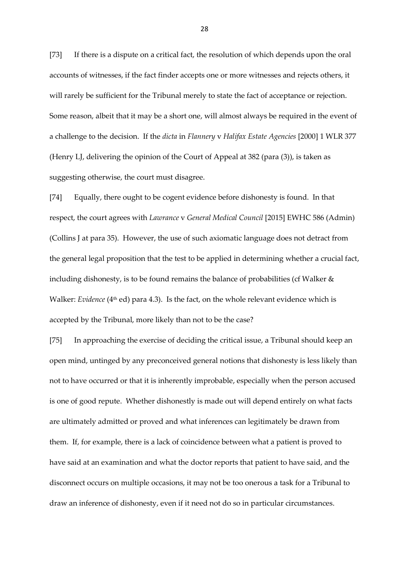[73] If there is a dispute on a critical fact, the resolution of which depends upon the oral accounts of witnesses, if the fact finder accepts one or more witnesses and rejects others, it will rarely be sufficient for the Tribunal merely to state the fact of acceptance or rejection. Some reason, albeit that it may be a short one, will almost always be required in the event of a challenge to the decision. If the *dicta* in *Flannery* v *Halifax Estate Agencies* [2000] 1 WLR 377 (Henry LJ, delivering the opinion of the Court of Appeal at 382 (para (3)), is taken as suggesting otherwise, the court must disagree.

[74] Equally, there ought to be cogent evidence before dishonesty is found. In that respect, the court agrees with *Lawrance* v *General Medical Council* [2015] EWHC 586 (Admin) (Collins J at para 35). However, the use of such axiomatic language does not detract from the general legal proposition that the test to be applied in determining whether a crucial fact, including dishonesty, is to be found remains the balance of probabilities (cf Walker  $\&$ Walker: *Evidence* (4<sup>th</sup> ed) para 4.3). Is the fact, on the whole relevant evidence which is accepted by the Tribunal, more likely than not to be the case?

[75] In approaching the exercise of deciding the critical issue, a Tribunal should keep an open mind, untinged by any preconceived general notions that dishonesty is less likely than not to have occurred or that it is inherently improbable, especially when the person accused is one of good repute. Whether dishonestly is made out will depend entirely on what facts are ultimately admitted or proved and what inferences can legitimately be drawn from them. If, for example, there is a lack of coincidence between what a patient is proved to have said at an examination and what the doctor reports that patient to have said, and the disconnect occurs on multiple occasions, it may not be too onerous a task for a Tribunal to draw an inference of dishonesty, even if it need not do so in particular circumstances.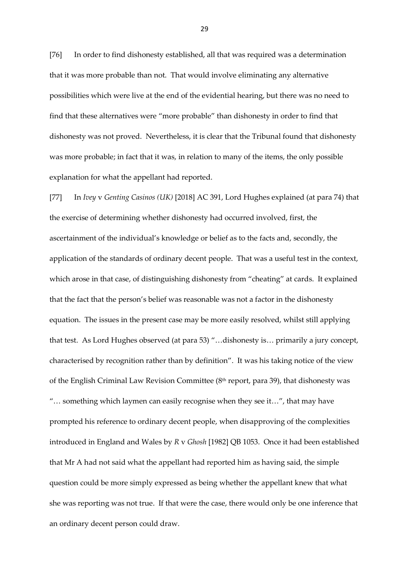[76] In order to find dishonesty established, all that was required was a determination that it was more probable than not. That would involve eliminating any alternative possibilities which were live at the end of the evidential hearing, but there was no need to find that these alternatives were "more probable" than dishonesty in order to find that dishonesty was not proved. Nevertheless, it is clear that the Tribunal found that dishonesty was more probable; in fact that it was, in relation to many of the items, the only possible explanation for what the appellant had reported.

[77] In *Ivey* v *Genting Casinos (UK)* [2018] AC 391, Lord Hughes explained (at para 74) that the exercise of determining whether dishonesty had occurred involved, first, the ascertainment of the individual's knowledge or belief as to the facts and, secondly, the application of the standards of ordinary decent people. That was a useful test in the context, which arose in that case, of distinguishing dishonesty from "cheating" at cards. It explained that the fact that the person's belief was reasonable was not a factor in the dishonesty equation. The issues in the present case may be more easily resolved, whilst still applying that test. As Lord Hughes observed (at para 53) "…dishonesty is… primarily a jury concept, characterised by recognition rather than by definition". It was his taking notice of the view of the English Criminal Law Revision Committee ( $8<sup>th</sup>$  report, para 39), that dishonesty was "… something which laymen can easily recognise when they see it…", that may have prompted his reference to ordinary decent people, when disapproving of the complexities introduced in England and Wales by *R* v *Ghosh* [1982] QB 1053. Once it had been established that Mr A had not said what the appellant had reported him as having said, the simple question could be more simply expressed as being whether the appellant knew that what she was reporting was not true. If that were the case, there would only be one inference that an ordinary decent person could draw.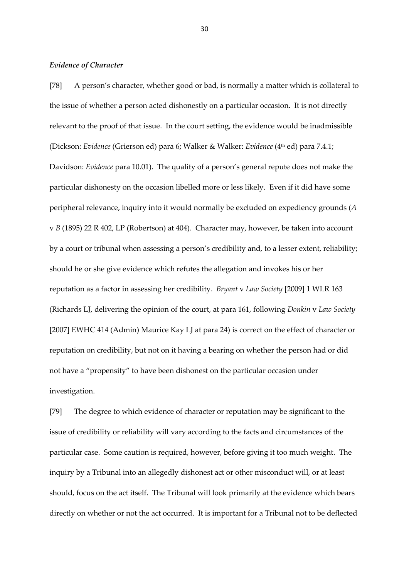## *Evidence of Character*

[78] A person's character, whether good or bad, is normally a matter which is collateral to the issue of whether a person acted dishonestly on a particular occasion. It is not directly relevant to the proof of that issue. In the court setting, the evidence would be inadmissible (Dickson: *Evidence* (Grierson ed) para 6; Walker & Walker: *Evidence* (4th ed) para 7.4.1; Davidson: *Evidence* para 10.01). The quality of a person's general repute does not make the particular dishonesty on the occasion libelled more or less likely. Even if it did have some peripheral relevance, inquiry into it would normally be excluded on expediency grounds (*A* v *B* (1895) 22 R 402, LP (Robertson) at 404). Character may, however, be taken into account by a court or tribunal when assessing a person's credibility and, to a lesser extent, reliability; should he or she give evidence which refutes the allegation and invokes his or her reputation as a factor in assessing her credibility. *Bryant* v *Law Society* [2009] 1 WLR 163 (Richards LJ, delivering the opinion of the court, at para 161, following *Donkin* v *Law Society* [2007] EWHC 414 (Admin) Maurice Kay LJ at para 24) is correct on the effect of character or reputation on credibility, but not on it having a bearing on whether the person had or did not have a "propensity" to have been dishonest on the particular occasion under investigation.

[79] The degree to which evidence of character or reputation may be significant to the issue of credibility or reliability will vary according to the facts and circumstances of the particular case. Some caution is required, however, before giving it too much weight. The inquiry by a Tribunal into an allegedly dishonest act or other misconduct will, or at least should, focus on the act itself. The Tribunal will look primarily at the evidence which bears directly on whether or not the act occurred. It is important for a Tribunal not to be deflected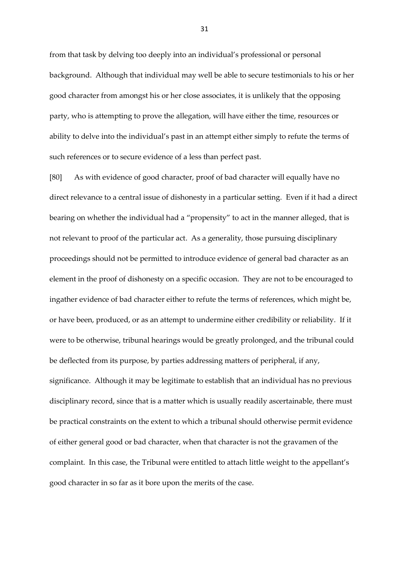from that task by delving too deeply into an individual's professional or personal background. Although that individual may well be able to secure testimonials to his or her good character from amongst his or her close associates, it is unlikely that the opposing party, who is attempting to prove the allegation, will have either the time, resources or ability to delve into the individual's past in an attempt either simply to refute the terms of such references or to secure evidence of a less than perfect past.

[80] As with evidence of good character, proof of bad character will equally have no direct relevance to a central issue of dishonesty in a particular setting. Even if it had a direct bearing on whether the individual had a "propensity" to act in the manner alleged, that is not relevant to proof of the particular act. As a generality, those pursuing disciplinary proceedings should not be permitted to introduce evidence of general bad character as an element in the proof of dishonesty on a specific occasion. They are not to be encouraged to ingather evidence of bad character either to refute the terms of references, which might be, or have been, produced, or as an attempt to undermine either credibility or reliability. If it were to be otherwise, tribunal hearings would be greatly prolonged, and the tribunal could be deflected from its purpose, by parties addressing matters of peripheral, if any, significance. Although it may be legitimate to establish that an individual has no previous disciplinary record, since that is a matter which is usually readily ascertainable, there must be practical constraints on the extent to which a tribunal should otherwise permit evidence of either general good or bad character, when that character is not the gravamen of the complaint. In this case, the Tribunal were entitled to attach little weight to the appellant's good character in so far as it bore upon the merits of the case.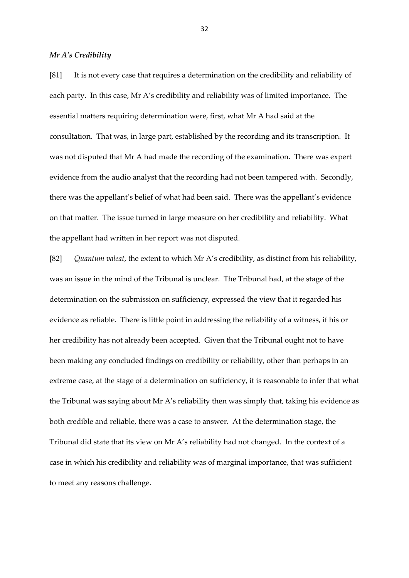### *Mr A's Credibility*

[81] It is not every case that requires a determination on the credibility and reliability of each party. In this case, Mr A's credibility and reliability was of limited importance. The essential matters requiring determination were, first, what Mr A had said at the consultation. That was, in large part, established by the recording and its transcription. It was not disputed that Mr A had made the recording of the examination. There was expert evidence from the audio analyst that the recording had not been tampered with. Secondly, there was the appellant's belief of what had been said. There was the appellant's evidence on that matter. The issue turned in large measure on her credibility and reliability. What the appellant had written in her report was not disputed.

[82] *Quantum valeat*, the extent to which Mr A's credibility, as distinct from his reliability, was an issue in the mind of the Tribunal is unclear. The Tribunal had, at the stage of the determination on the submission on sufficiency, expressed the view that it regarded his evidence as reliable. There is little point in addressing the reliability of a witness, if his or her credibility has not already been accepted. Given that the Tribunal ought not to have been making any concluded findings on credibility or reliability, other than perhaps in an extreme case, at the stage of a determination on sufficiency, it is reasonable to infer that what the Tribunal was saying about Mr A's reliability then was simply that, taking his evidence as both credible and reliable, there was a case to answer. At the determination stage, the Tribunal did state that its view on Mr A's reliability had not changed. In the context of a case in which his credibility and reliability was of marginal importance, that was sufficient to meet any reasons challenge.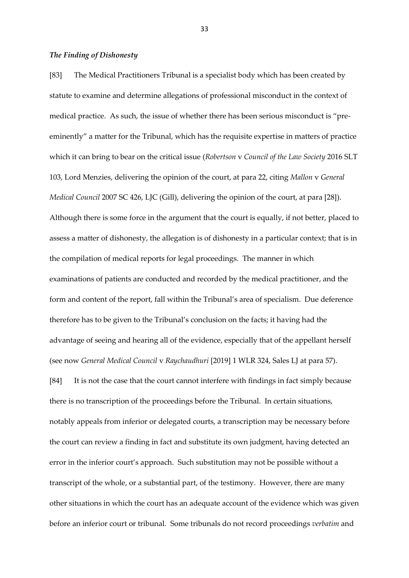### *The Finding of Dishonesty*

[83] The Medical Practitioners Tribunal is a specialist body which has been created by statute to examine and determine allegations of professional misconduct in the context of medical practice. As such, the issue of whether there has been serious misconduct is "preeminently" a matter for the Tribunal, which has the requisite expertise in matters of practice which it can bring to bear on the critical issue (*Robertson* v *Council of the Law Society* 2016 SLT 103, Lord Menzies, delivering the opinion of the court, at para 22, citing *Mallon* v *General Medical Council* 2007 SC 426, LJC (Gill), delivering the opinion of the court, at para [28]). Although there is some force in the argument that the court is equally, if not better, placed to assess a matter of dishonesty, the allegation is of dishonesty in a particular context; that is in the compilation of medical reports for legal proceedings. The manner in which examinations of patients are conducted and recorded by the medical practitioner, and the form and content of the report, fall within the Tribunal's area of specialism. Due deference therefore has to be given to the Tribunal's conclusion on the facts; it having had the advantage of seeing and hearing all of the evidence, especially that of the appellant herself (see now *General Medical Council* v *Raychaudhuri* [2019] 1 WLR 324, Sales LJ at para 57).

[84] It is not the case that the court cannot interfere with findings in fact simply because there is no transcription of the proceedings before the Tribunal. In certain situations, notably appeals from inferior or delegated courts, a transcription may be necessary before the court can review a finding in fact and substitute its own judgment, having detected an error in the inferior court's approach. Such substitution may not be possible without a transcript of the whole, or a substantial part, of the testimony. However, there are many other situations in which the court has an adequate account of the evidence which was given before an inferior court or tribunal. Some tribunals do not record proceedings *verbatim* and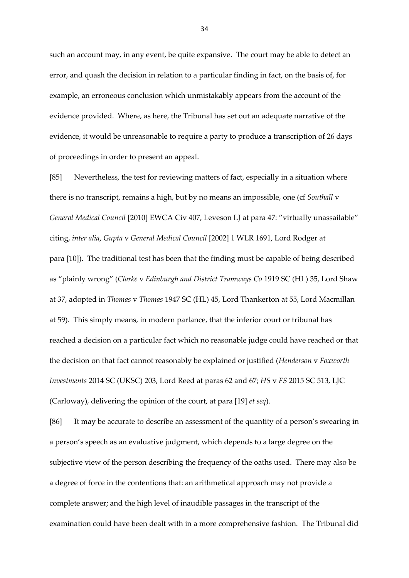such an account may, in any event, be quite expansive. The court may be able to detect an error, and quash the decision in relation to a particular finding in fact, on the basis of, for example, an erroneous conclusion which unmistakably appears from the account of the evidence provided. Where, as here, the Tribunal has set out an adequate narrative of the evidence, it would be unreasonable to require a party to produce a transcription of 26 days of proceedings in order to present an appeal.

[85] Nevertheless, the test for reviewing matters of fact, especially in a situation where there is no transcript, remains a high, but by no means an impossible, one (cf *Southall* v *General Medical Council* [2010] EWCA Civ 407, Leveson LJ at para 47: "virtually unassailable" citing, *inter alia*, *Gupta* v *General Medical Council* [2002] 1 WLR 1691, Lord Rodger at para [10]). The traditional test has been that the finding must be capable of being described as "plainly wrong" (*Clarke* v *Edinburgh and District Tramways Co* 1919 SC (HL) 35, Lord Shaw at 37, adopted in *Thomas* v *Thomas* 1947 SC (HL) 45, Lord Thankerton at 55, Lord Macmillan at 59). This simply means, in modern parlance, that the inferior court or tribunal has reached a decision on a particular fact which no reasonable judge could have reached or that the decision on that fact cannot reasonably be explained or justified (*Henderson* v *Foxworth Investments* 2014 SC (UKSC) 203, Lord Reed at paras 62 and 67; *HS* v *FS* 2015 SC 513, LJC (Carloway), delivering the opinion of the court, at para [19] *et seq*).

[86] It may be accurate to describe an assessment of the quantity of a person's swearing in a person's speech as an evaluative judgment, which depends to a large degree on the subjective view of the person describing the frequency of the oaths used. There may also be a degree of force in the contentions that: an arithmetical approach may not provide a complete answer; and the high level of inaudible passages in the transcript of the examination could have been dealt with in a more comprehensive fashion. The Tribunal did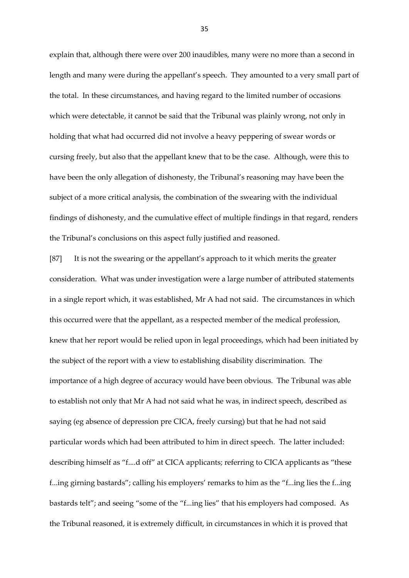explain that, although there were over 200 inaudibles, many were no more than a second in length and many were during the appellant's speech. They amounted to a very small part of the total. In these circumstances, and having regard to the limited number of occasions which were detectable, it cannot be said that the Tribunal was plainly wrong, not only in holding that what had occurred did not involve a heavy peppering of swear words or cursing freely, but also that the appellant knew that to be the case. Although, were this to have been the only allegation of dishonesty, the Tribunal's reasoning may have been the subject of a more critical analysis, the combination of the swearing with the individual findings of dishonesty, and the cumulative effect of multiple findings in that regard, renders the Tribunal's conclusions on this aspect fully justified and reasoned.

[87] It is not the swearing or the appellant's approach to it which merits the greater consideration. What was under investigation were a large number of attributed statements in a single report which, it was established, Mr A had not said. The circumstances in which this occurred were that the appellant, as a respected member of the medical profession, knew that her report would be relied upon in legal proceedings, which had been initiated by the subject of the report with a view to establishing disability discrimination. The importance of a high degree of accuracy would have been obvious. The Tribunal was able to establish not only that Mr A had not said what he was, in indirect speech, described as saying (eg absence of depression pre CICA, freely cursing) but that he had not said particular words which had been attributed to him in direct speech. The latter included: describing himself as "f....d off" at CICA applicants; referring to CICA applicants as "these f...ing girning bastards"; calling his employers' remarks to him as the "f...ing lies the f...ing bastards telt"; and seeing "some of the "f...ing lies" that his employers had composed. As the Tribunal reasoned, it is extremely difficult, in circumstances in which it is proved that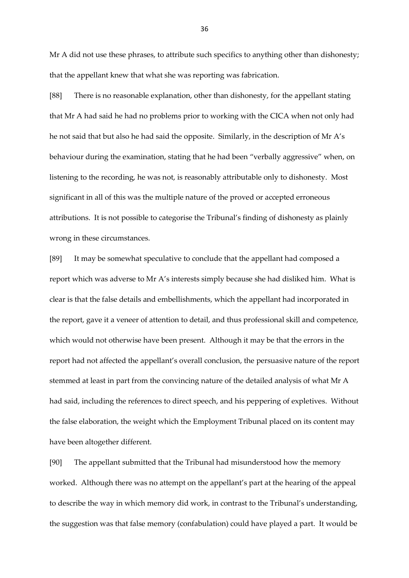Mr A did not use these phrases, to attribute such specifics to anything other than dishonesty; that the appellant knew that what she was reporting was fabrication.

[88] There is no reasonable explanation, other than dishonesty, for the appellant stating that Mr A had said he had no problems prior to working with the CICA when not only had he not said that but also he had said the opposite. Similarly, in the description of Mr A's behaviour during the examination, stating that he had been "verbally aggressive" when, on listening to the recording, he was not, is reasonably attributable only to dishonesty. Most significant in all of this was the multiple nature of the proved or accepted erroneous attributions. It is not possible to categorise the Tribunal's finding of dishonesty as plainly wrong in these circumstances.

[89] It may be somewhat speculative to conclude that the appellant had composed a report which was adverse to Mr A's interests simply because she had disliked him. What is clear is that the false details and embellishments, which the appellant had incorporated in the report, gave it a veneer of attention to detail, and thus professional skill and competence, which would not otherwise have been present. Although it may be that the errors in the report had not affected the appellant's overall conclusion, the persuasive nature of the report stemmed at least in part from the convincing nature of the detailed analysis of what Mr A had said, including the references to direct speech, and his peppering of expletives. Without the false elaboration, the weight which the Employment Tribunal placed on its content may have been altogether different.

[90] The appellant submitted that the Tribunal had misunderstood how the memory worked. Although there was no attempt on the appellant's part at the hearing of the appeal to describe the way in which memory did work, in contrast to the Tribunal's understanding, the suggestion was that false memory (confabulation) could have played a part. It would be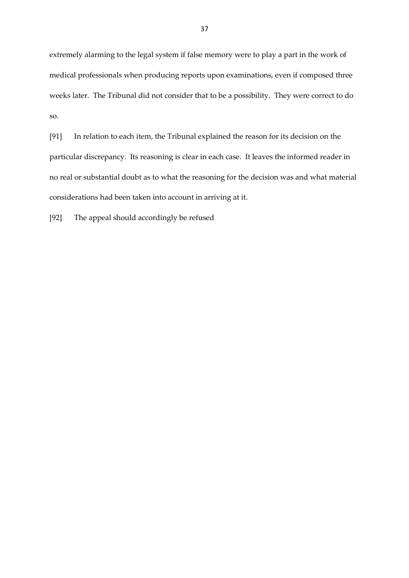extremely alarming to the legal system if false memory were to play a part in the work of medical professionals when producing reports upon examinations, even if composed three weeks later. The Tribunal did not consider that to be a possibility. They were correct to do so.

[91] In relation to each item, the Tribunal explained the reason for its decision on the particular discrepancy. Its reasoning is clear in each case. It leaves the informed reader in no real or substantial doubt as to what the reasoning for the decision was and what material considerations had been taken into account in arriving at it.

[92] The appeal should accordingly be refused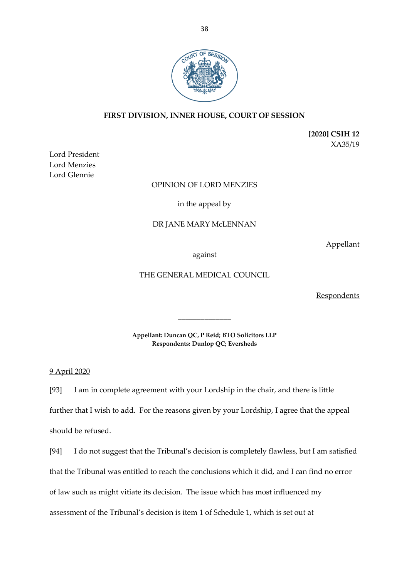

## **FIRST DIVISION, INNER HOUSE, COURT OF SESSION**

**[2020] CSIH 12** XA35/19

Lord President Lord Menzies Lord Glennie

## OPINION OF LORD MENZIES

in the appeal by

### DR JANE MARY McLENNAN

Appellant

against

THE GENERAL MEDICAL COUNCIL

**Respondents** 

**Appellant: Duncan QC, P Reid; BTO Solicitors LLP Respondents: Dunlop QC; Eversheds**

\_\_\_\_\_\_\_\_\_\_\_\_\_\_

9 April 2020

[93] I am in complete agreement with your Lordship in the chair, and there is little further that I wish to add. For the reasons given by your Lordship, I agree that the appeal should be refused.

[94] I do not suggest that the Tribunal's decision is completely flawless, but I am satisfied that the Tribunal was entitled to reach the conclusions which it did, and I can find no error of law such as might vitiate its decision. The issue which has most influenced my assessment of the Tribunal's decision is item 1 of Schedule 1, which is set out at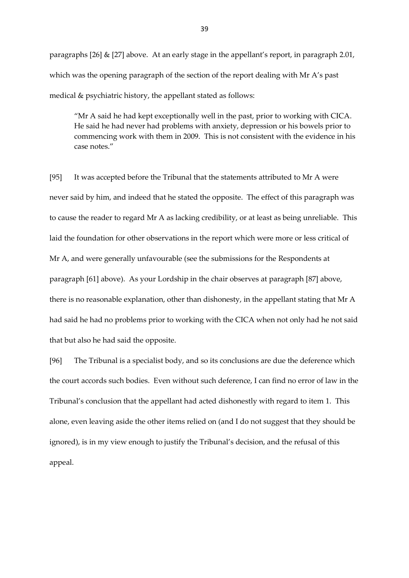paragraphs [26] & [27] above. At an early stage in the appellant's report, in paragraph 2.01, which was the opening paragraph of the section of the report dealing with Mr A's past medical & psychiatric history, the appellant stated as follows:

"Mr A said he had kept exceptionally well in the past, prior to working with CICA. He said he had never had problems with anxiety, depression or his bowels prior to commencing work with them in 2009. This is not consistent with the evidence in his case notes."

[95] It was accepted before the Tribunal that the statements attributed to Mr A were never said by him, and indeed that he stated the opposite. The effect of this paragraph was to cause the reader to regard Mr A as lacking credibility, or at least as being unreliable. This laid the foundation for other observations in the report which were more or less critical of Mr A, and were generally unfavourable (see the submissions for the Respondents at paragraph [61] above). As your Lordship in the chair observes at paragraph [87] above, there is no reasonable explanation, other than dishonesty, in the appellant stating that Mr A had said he had no problems prior to working with the CICA when not only had he not said that but also he had said the opposite.

[96] The Tribunal is a specialist body, and so its conclusions are due the deference which the court accords such bodies. Even without such deference, I can find no error of law in the Tribunal's conclusion that the appellant had acted dishonestly with regard to item 1. This alone, even leaving aside the other items relied on (and I do not suggest that they should be ignored), is in my view enough to justify the Tribunal's decision, and the refusal of this appeal.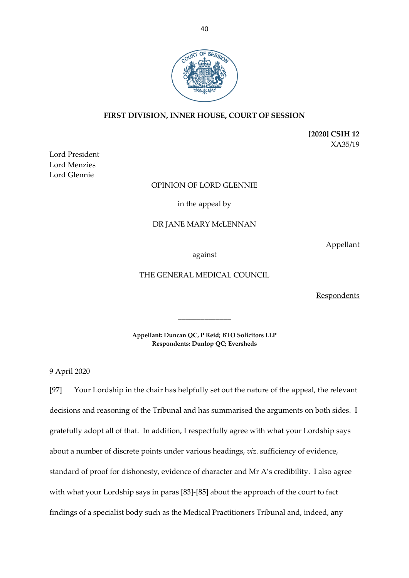

### **FIRST DIVISION, INNER HOUSE, COURT OF SESSION**

**[2020] CSIH 12** XA35/19

Lord President Lord Menzies Lord Glennie

## OPINION OF LORD GLENNIE

in the appeal by

### DR JANE MARY McLENNAN

Appellant

against

THE GENERAL MEDICAL COUNCIL

**Respondents** 

**Appellant: Duncan QC, P Reid; BTO Solicitors LLP Respondents: Dunlop QC; Eversheds**

\_\_\_\_\_\_\_\_\_\_\_\_\_\_

9 April 2020

[97] Your Lordship in the chair has helpfully set out the nature of the appeal, the relevant decisions and reasoning of the Tribunal and has summarised the arguments on both sides. I gratefully adopt all of that. In addition, I respectfully agree with what your Lordship says about a number of discrete points under various headings, *viz*. sufficiency of evidence, standard of proof for dishonesty, evidence of character and Mr A's credibility. I also agree with what your Lordship says in paras [83]-[85] about the approach of the court to fact findings of a specialist body such as the Medical Practitioners Tribunal and, indeed, any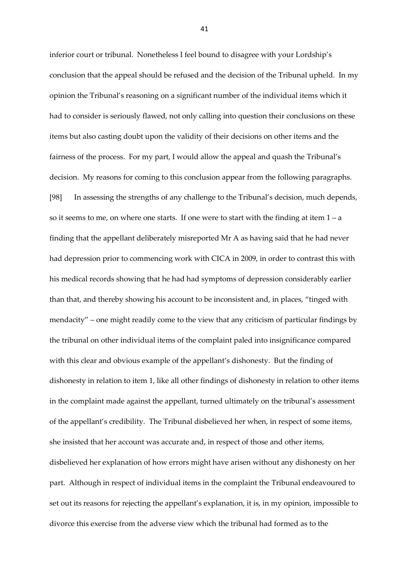inferior court or tribunal. Nonetheless I feel bound to disagree with your Lordship's conclusion that the appeal should be refused and the decision of the Tribunal upheld. In my opinion the Tribunal's reasoning on a significant number of the individual items which it had to consider is seriously flawed, not only calling into question their conclusions on these items but also casting doubt upon the validity of their decisions on other items and the fairness of the process. For my part, I would allow the appeal and quash the Tribunal's decision. My reasons for coming to this conclusion appear from the following paragraphs. [98] In assessing the strengths of any challenge to the Tribunal's decision, much depends, so it seems to me, on where one starts. If one were to start with the finding at item 1 – a finding that the appellant deliberately misreported Mr A as having said that he had never had depression prior to commencing work with CICA in 2009, in order to contrast this with his medical records showing that he had had symptoms of depression considerably earlier than that, and thereby showing his account to be inconsistent and, in places, "tinged with mendacity" – one might readily come to the view that any criticism of particular findings by the tribunal on other individual items of the complaint paled into insignificance compared with this clear and obvious example of the appellant's dishonesty. But the finding of dishonesty in relation to item 1, like all other findings of dishonesty in relation to other items in the complaint made against the appellant, turned ultimately on the tribunal's assessment of the appellant's credibility. The Tribunal disbelieved her when, in respect of some items, she insisted that her account was accurate and, in respect of those and other items, disbelieved her explanation of how errors might have arisen without any dishonesty on her part. Although in respect of individual items in the complaint the Tribunal endeavoured to set out its reasons for rejecting the appellant's explanation, it is, in my opinion, impossible to divorce this exercise from the adverse view which the tribunal had formed as to the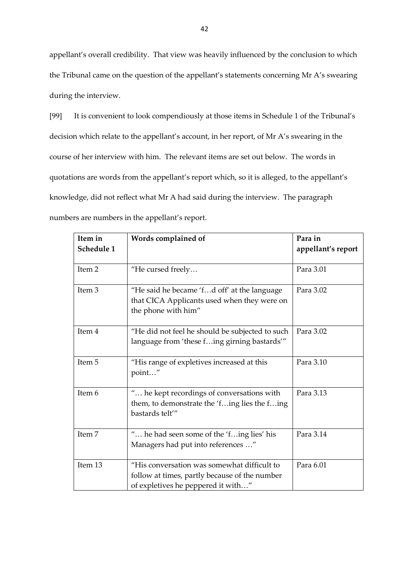appellant's overall credibility. That view was heavily influenced by the conclusion to which the Tribunal came on the question of the appellant's statements concerning Mr A's swearing during the interview.

[99] It is convenient to look compendiously at those items in Schedule 1 of the Tribunal's decision which relate to the appellant's account, in her report, of Mr A's swearing in the course of her interview with him. The relevant items are set out below. The words in quotations are words from the appellant's report which, so it is alleged, to the appellant's knowledge, did not reflect what Mr A had said during the interview. The paragraph numbers are numbers in the appellant's report.

| Item in<br>Schedule 1 | Words complained of                                                                                                                | Para in<br>appellant's report |
|-----------------------|------------------------------------------------------------------------------------------------------------------------------------|-------------------------------|
| Item <sub>2</sub>     | "He cursed freely                                                                                                                  | Para 3.01                     |
| Item <sub>3</sub>     | "He said he became 'fd off' at the language<br>that CICA Applicants used when they were on<br>the phone with him"                  | Para 3.02                     |
| Item 4                | "He did not feel he should be subjected to such<br>language from 'these fing girning bastards'"                                    | Para 3.02                     |
| Item 5                | "His range of expletives increased at this<br>point"                                                                               | Para 3.10                     |
| Item 6                | " he kept recordings of conversations with<br>them, to demonstrate the 'fing lies the fing<br>bastards telt"                       | Para 3.13                     |
| Item 7                | " he had seen some of the 'fing lies' his<br>Managers had put into references "                                                    | Para 3.14                     |
| Item 13               | "His conversation was somewhat difficult to<br>follow at times, partly because of the number<br>of expletives he peppered it with" | Para 6.01                     |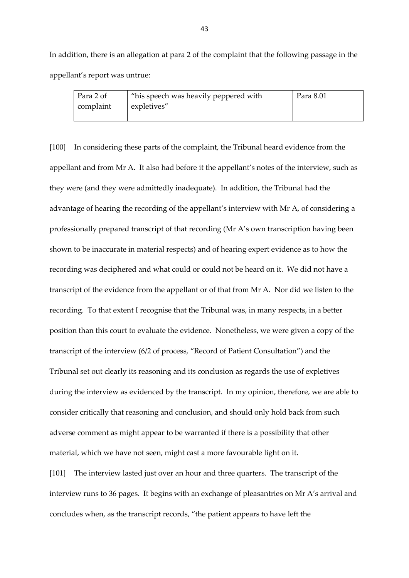In addition, there is an allegation at para 2 of the complaint that the following passage in the appellant's report was untrue:

| Para 2 of | this speech was heavily peppered with | Para 8.01 |
|-----------|---------------------------------------|-----------|
| complaint | expletives"                           |           |
|           |                                       |           |

[100] In considering these parts of the complaint, the Tribunal heard evidence from the appellant and from Mr A. It also had before it the appellant's notes of the interview, such as they were (and they were admittedly inadequate). In addition, the Tribunal had the advantage of hearing the recording of the appellant's interview with Mr A, of considering a professionally prepared transcript of that recording (Mr A's own transcription having been shown to be inaccurate in material respects) and of hearing expert evidence as to how the recording was deciphered and what could or could not be heard on it. We did not have a transcript of the evidence from the appellant or of that from Mr A. Nor did we listen to the recording. To that extent I recognise that the Tribunal was, in many respects, in a better position than this court to evaluate the evidence. Nonetheless, we were given a copy of the transcript of the interview (6/2 of process, "Record of Patient Consultation") and the Tribunal set out clearly its reasoning and its conclusion as regards the use of expletives during the interview as evidenced by the transcript. In my opinion, therefore, we are able to consider critically that reasoning and conclusion, and should only hold back from such adverse comment as might appear to be warranted if there is a possibility that other material, which we have not seen, might cast a more favourable light on it.

[101] The interview lasted just over an hour and three quarters. The transcript of the interview runs to 36 pages. It begins with an exchange of pleasantries on Mr A's arrival and concludes when, as the transcript records, "the patient appears to have left the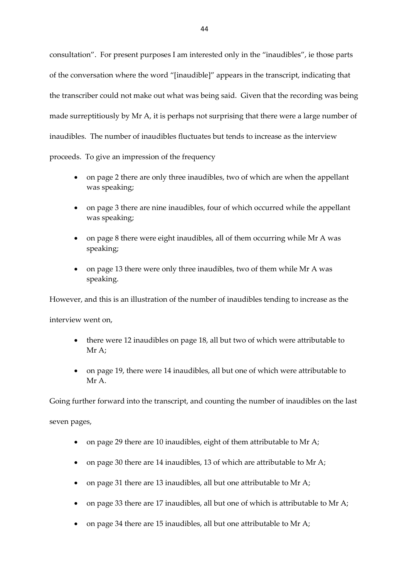consultation". For present purposes I am interested only in the "inaudibles", ie those parts of the conversation where the word "[inaudible]" appears in the transcript, indicating that the transcriber could not make out what was being said. Given that the recording was being made surreptitiously by Mr A, it is perhaps not surprising that there were a large number of inaudibles. The number of inaudibles fluctuates but tends to increase as the interview proceeds. To give an impression of the frequency

- on page 2 there are only three inaudibles, two of which are when the appellant was speaking;
- on page 3 there are nine inaudibles, four of which occurred while the appellant was speaking;
- on page 8 there were eight inaudibles, all of them occurring while Mr A was speaking;
- on page 13 there were only three inaudibles, two of them while Mr A was speaking.

However, and this is an illustration of the number of inaudibles tending to increase as the

interview went on,

- there were 12 inaudibles on page 18, all but two of which were attributable to Mr A:
- on page 19, there were 14 inaudibles, all but one of which were attributable to Mr A

Going further forward into the transcript, and counting the number of inaudibles on the last

seven pages,

- on page 29 there are 10 inaudibles, eight of them attributable to Mr A;
- on page 30 there are 14 inaudibles, 13 of which are attributable to Mr A;
- on page 31 there are 13 inaudibles, all but one attributable to Mr A;
- on page 33 there are 17 inaudibles, all but one of which is attributable to Mr A;
- on page 34 there are 15 inaudibles, all but one attributable to Mr A;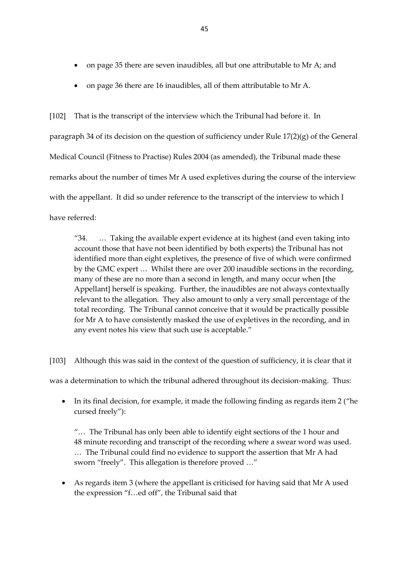- on page 35 there are seven inaudibles, all but one attributable to Mr A; and
- on page 36 there are 16 inaudibles, all of them attributable to Mr A.

[102] That is the transcript of the interview which the Tribunal had before it. In paragraph 34 of its decision on the question of sufficiency under Rule  $17(2)(g)$  of the General Medical Council (Fitness to Practise) Rules 2004 (as amended), the Tribunal made these remarks about the number of times Mr A used expletives during the course of the interview with the appellant. It did so under reference to the transcript of the interview to which I have referred:

"34. … Taking the available expert evidence at its highest (and even taking into account those that have not been identified by both experts) the Tribunal has not identified more than eight expletives, the presence of five of which were confirmed by the GMC expert … Whilst there are over 200 inaudible sections in the recording, many of these are no more than a second in length, and many occur when [the Appellant] herself is speaking. Further, the inaudibles are not always contextually relevant to the allegation. They also amount to only a very small percentage of the total recording. The Tribunal cannot conceive that it would be practically possible for Mr A to have consistently masked the use of expletives in the recording, and in any event notes his view that such use is acceptable."

[103] Although this was said in the context of the question of sufficiency, it is clear that it was a determination to which the tribunal adhered throughout its decision-making. Thus:

• In its final decision, for example, it made the following finding as regards item 2 ("he cursed freely"):

"… The Tribunal has only been able to identify eight sections of the 1 hour and 48 minute recording and transcript of the recording where a swear word was used. … The Tribunal could find no evidence to support the assertion that Mr A had sworn "freely". This allegation is therefore proved …"

 As regards item 3 (where the appellant is criticised for having said that Mr A used the expression "f…ed off", the Tribunal said that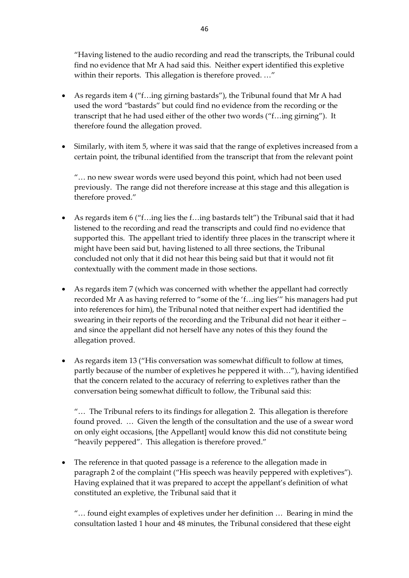"Having listened to the audio recording and read the transcripts, the Tribunal could find no evidence that Mr A had said this. Neither expert identified this expletive within their reports. This allegation is therefore proved...."

- As regards item 4 ("f…ing girning bastards"), the Tribunal found that Mr A had used the word "bastards" but could find no evidence from the recording or the transcript that he had used either of the other two words ("f…ing girning"). It therefore found the allegation proved.
- Similarly, with item 5, where it was said that the range of expletives increased from a certain point, the tribunal identified from the transcript that from the relevant point

"… no new swear words were used beyond this point, which had not been used previously. The range did not therefore increase at this stage and this allegation is therefore proved."

- As regards item 6 ("f…ing lies the f…ing bastards telt") the Tribunal said that it had listened to the recording and read the transcripts and could find no evidence that supported this. The appellant tried to identify three places in the transcript where it might have been said but, having listened to all three sections, the Tribunal concluded not only that it did not hear this being said but that it would not fit contextually with the comment made in those sections.
- As regards item 7 (which was concerned with whether the appellant had correctly recorded Mr A as having referred to "some of the 'f…ing lies'" his managers had put into references for him), the Tribunal noted that neither expert had identified the swearing in their reports of the recording and the Tribunal did not hear it either – and since the appellant did not herself have any notes of this they found the allegation proved.
- As regards item 13 ("His conversation was somewhat difficult to follow at times, partly because of the number of expletives he peppered it with…"), having identified that the concern related to the accuracy of referring to expletives rather than the conversation being somewhat difficult to follow, the Tribunal said this:

"… The Tribunal refers to its findings for allegation 2. This allegation is therefore found proved. … Given the length of the consultation and the use of a swear word on only eight occasions, [the Appellant] would know this did not constitute being "heavily peppered". This allegation is therefore proved."

• The reference in that quoted passage is a reference to the allegation made in paragraph 2 of the complaint ("His speech was heavily peppered with expletives"). Having explained that it was prepared to accept the appellant's definition of what constituted an expletive, the Tribunal said that it

"… found eight examples of expletives under her definition … Bearing in mind the consultation lasted 1 hour and 48 minutes, the Tribunal considered that these eight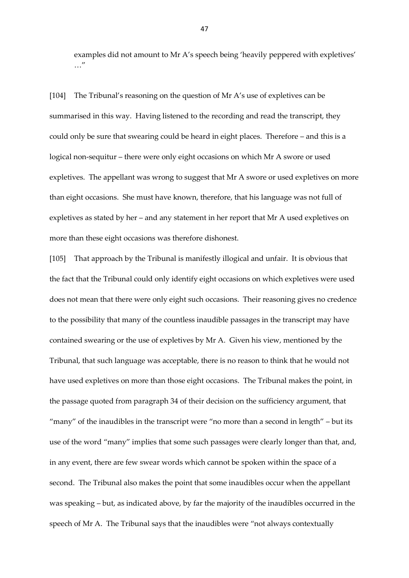examples did not amount to Mr A's speech being 'heavily peppered with expletives' …"

[104] The Tribunal's reasoning on the question of Mr A's use of expletives can be summarised in this way. Having listened to the recording and read the transcript, they could only be sure that swearing could be heard in eight places. Therefore – and this is a logical non-sequitur – there were only eight occasions on which Mr A swore or used expletives. The appellant was wrong to suggest that Mr A swore or used expletives on more than eight occasions. She must have known, therefore, that his language was not full of expletives as stated by her – and any statement in her report that Mr A used expletives on more than these eight occasions was therefore dishonest.

[105] That approach by the Tribunal is manifestly illogical and unfair. It is obvious that the fact that the Tribunal could only identify eight occasions on which expletives were used does not mean that there were only eight such occasions. Their reasoning gives no credence to the possibility that many of the countless inaudible passages in the transcript may have contained swearing or the use of expletives by Mr A. Given his view, mentioned by the Tribunal, that such language was acceptable, there is no reason to think that he would not have used expletives on more than those eight occasions. The Tribunal makes the point, in the passage quoted from paragraph 34 of their decision on the sufficiency argument, that "many" of the inaudibles in the transcript were "no more than a second in length" – but its use of the word "many" implies that some such passages were clearly longer than that, and, in any event, there are few swear words which cannot be spoken within the space of a second. The Tribunal also makes the point that some inaudibles occur when the appellant was speaking – but, as indicated above, by far the majority of the inaudibles occurred in the speech of Mr A. The Tribunal says that the inaudibles were "not always contextually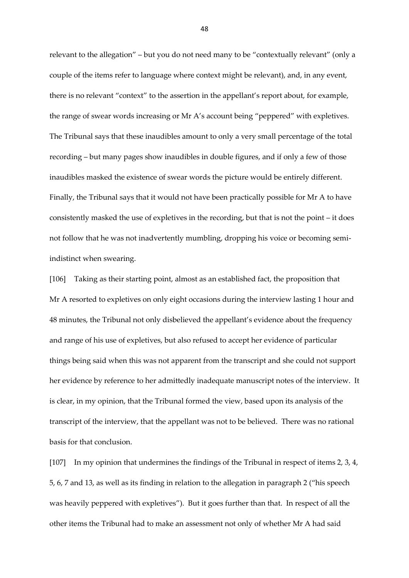relevant to the allegation" – but you do not need many to be "contextually relevant" (only a couple of the items refer to language where context might be relevant), and, in any event, there is no relevant "context" to the assertion in the appellant's report about, for example, the range of swear words increasing or Mr A's account being "peppered" with expletives. The Tribunal says that these inaudibles amount to only a very small percentage of the total recording – but many pages show inaudibles in double figures, and if only a few of those inaudibles masked the existence of swear words the picture would be entirely different. Finally, the Tribunal says that it would not have been practically possible for Mr A to have consistently masked the use of expletives in the recording, but that is not the point – it does not follow that he was not inadvertently mumbling, dropping his voice or becoming semiindistinct when swearing.

[106] Taking as their starting point, almost as an established fact, the proposition that Mr A resorted to expletives on only eight occasions during the interview lasting 1 hour and 48 minutes, the Tribunal not only disbelieved the appellant's evidence about the frequency and range of his use of expletives, but also refused to accept her evidence of particular things being said when this was not apparent from the transcript and she could not support her evidence by reference to her admittedly inadequate manuscript notes of the interview. It is clear, in my opinion, that the Tribunal formed the view, based upon its analysis of the transcript of the interview, that the appellant was not to be believed. There was no rational basis for that conclusion.

[107] In my opinion that undermines the findings of the Tribunal in respect of items 2, 3, 4, 5, 6, 7 and 13, as well as its finding in relation to the allegation in paragraph 2 ("his speech was heavily peppered with expletives"). But it goes further than that. In respect of all the other items the Tribunal had to make an assessment not only of whether Mr A had said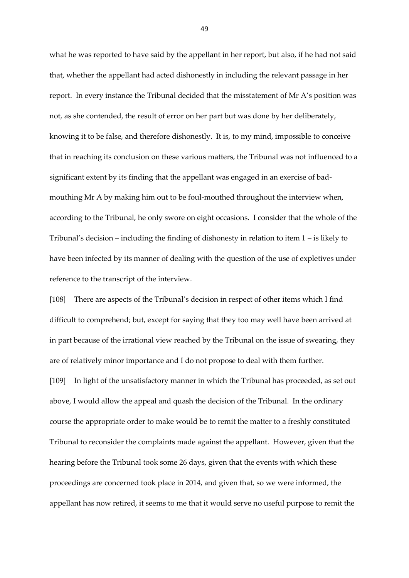what he was reported to have said by the appellant in her report, but also, if he had not said that, whether the appellant had acted dishonestly in including the relevant passage in her report. In every instance the Tribunal decided that the misstatement of Mr A's position was not, as she contended, the result of error on her part but was done by her deliberately, knowing it to be false, and therefore dishonestly. It is, to my mind, impossible to conceive that in reaching its conclusion on these various matters, the Tribunal was not influenced to a significant extent by its finding that the appellant was engaged in an exercise of badmouthing Mr A by making him out to be foul-mouthed throughout the interview when, according to the Tribunal, he only swore on eight occasions. I consider that the whole of the Tribunal's decision – including the finding of dishonesty in relation to item 1 – is likely to have been infected by its manner of dealing with the question of the use of expletives under reference to the transcript of the interview.

[108] There are aspects of the Tribunal's decision in respect of other items which I find difficult to comprehend; but, except for saying that they too may well have been arrived at in part because of the irrational view reached by the Tribunal on the issue of swearing, they are of relatively minor importance and I do not propose to deal with them further.

[109] In light of the unsatisfactory manner in which the Tribunal has proceeded, as set out above, I would allow the appeal and quash the decision of the Tribunal. In the ordinary course the appropriate order to make would be to remit the matter to a freshly constituted Tribunal to reconsider the complaints made against the appellant. However, given that the hearing before the Tribunal took some 26 days, given that the events with which these proceedings are concerned took place in 2014, and given that, so we were informed, the appellant has now retired, it seems to me that it would serve no useful purpose to remit the